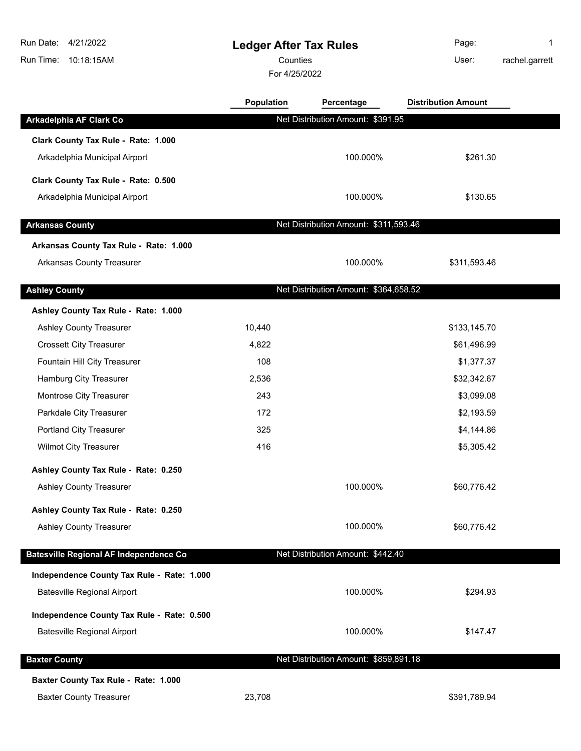# **Ledger After Tax Rules**

Counties **Counties** User:

For 4/25/2022

Page: 1 rachel.garrett

|                                               | Population | Percentage                            | <b>Distribution Amount</b> |  |
|-----------------------------------------------|------------|---------------------------------------|----------------------------|--|
| Arkadelphia AF Clark Co                       |            | Net Distribution Amount: \$391.95     |                            |  |
| Clark County Tax Rule - Rate: 1.000           |            |                                       |                            |  |
| Arkadelphia Municipal Airport                 |            | 100.000%                              | \$261.30                   |  |
| Clark County Tax Rule - Rate: 0.500           |            |                                       |                            |  |
| Arkadelphia Municipal Airport                 |            | 100.000%                              | \$130.65                   |  |
| <b>Arkansas County</b>                        |            | Net Distribution Amount: \$311,593.46 |                            |  |
| Arkansas County Tax Rule - Rate: 1.000        |            |                                       |                            |  |
| Arkansas County Treasurer                     |            | 100.000%                              | \$311,593.46               |  |
| <b>Ashley County</b>                          |            | Net Distribution Amount: \$364,658.52 |                            |  |
| Ashley County Tax Rule - Rate: 1.000          |            |                                       |                            |  |
| Ashley County Treasurer                       | 10,440     |                                       | \$133,145.70               |  |
| <b>Crossett City Treasurer</b>                | 4,822      |                                       | \$61,496.99                |  |
| Fountain Hill City Treasurer                  | 108        |                                       | \$1,377.37                 |  |
| Hamburg City Treasurer                        | 2,536      |                                       | \$32,342.67                |  |
| Montrose City Treasurer                       | 243        |                                       | \$3,099.08                 |  |
| Parkdale City Treasurer                       | 172        |                                       | \$2,193.59                 |  |
| Portland City Treasurer                       | 325        |                                       | \$4,144.86                 |  |
| <b>Wilmot City Treasurer</b>                  | 416        |                                       | \$5,305.42                 |  |
| Ashley County Tax Rule - Rate: 0.250          |            |                                       |                            |  |
| <b>Ashley County Treasurer</b>                |            | 100.000%                              | \$60,776.42                |  |
| Ashley County Tax Rule - Rate: 0.250          |            |                                       |                            |  |
| <b>Ashley County Treasurer</b>                |            | 100.000%                              | \$60,776.42                |  |
| <b>Batesville Regional AF Independence Co</b> |            | Net Distribution Amount: \$442.40     |                            |  |
| Independence County Tax Rule - Rate: 1.000    |            |                                       |                            |  |
| <b>Batesville Regional Airport</b>            |            | 100.000%                              | \$294.93                   |  |
| Independence County Tax Rule - Rate: 0.500    |            |                                       |                            |  |
| <b>Batesville Regional Airport</b>            |            | 100.000%                              | \$147.47                   |  |
| <b>Baxter County</b>                          |            | Net Distribution Amount: \$859,891.18 |                            |  |
| Baxter County Tax Rule - Rate: 1.000          |            |                                       |                            |  |
| <b>Baxter County Treasurer</b>                | 23,708     |                                       | \$391,789.94               |  |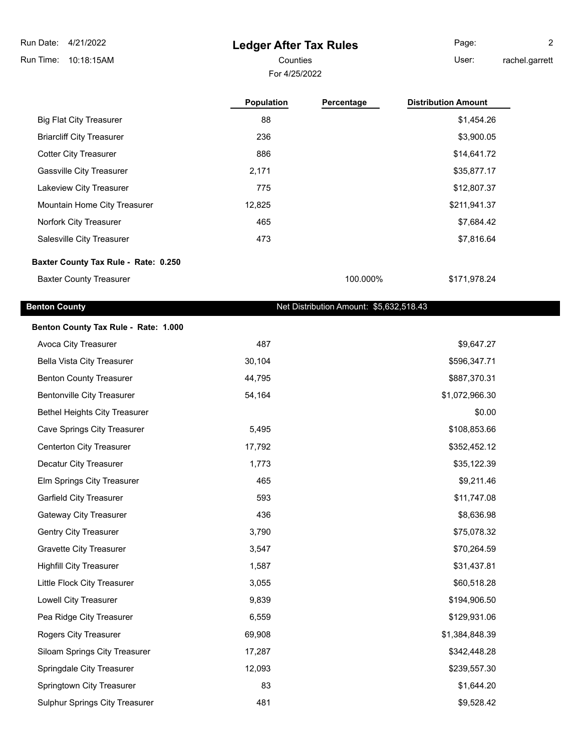# **Ledger After Tax Rules**

For 4/25/2022 Counties **User:** 

Page: 2 rachel.garrett

|                                      | <b>Population</b> | Percentage | <b>Distribution Amount</b> |
|--------------------------------------|-------------------|------------|----------------------------|
| <b>Big Flat City Treasurer</b>       | 88                |            | \$1,454.26                 |
| <b>Briarcliff City Treasurer</b>     | 236               |            | \$3,900.05                 |
| <b>Cotter City Treasurer</b>         | 886               |            | \$14,641.72                |
| <b>Gassville City Treasurer</b>      | 2,171             |            | \$35,877.17                |
| Lakeview City Treasurer              | 775               |            | \$12,807.37                |
| Mountain Home City Treasurer         | 12,825            |            | \$211,941.37               |
| Norfork City Treasurer               | 465               |            | \$7,684.42                 |
| Salesville City Treasurer            | 473               |            | \$7,816.64                 |
| Baxter County Tax Rule - Rate: 0.250 |                   |            |                            |

Baxter County Treasurer 100.000% \$171,978.24

#### **Benton County Benton County Net Distribution Amount: \$5,632,518.43**

| Benton County Tax Rule - Rate: 1.000  |        |                |
|---------------------------------------|--------|----------------|
| Avoca City Treasurer                  | 487    | \$9,647.27     |
| Bella Vista City Treasurer            | 30,104 | \$596,347.71   |
| <b>Benton County Treasurer</b>        | 44,795 | \$887,370.31   |
| <b>Bentonville City Treasurer</b>     | 54,164 | \$1,072,966.30 |
| <b>Bethel Heights City Treasurer</b>  |        | \$0.00         |
| Cave Springs City Treasurer           | 5,495  | \$108,853.66   |
| Centerton City Treasurer              | 17,792 | \$352,452.12   |
| Decatur City Treasurer                | 1,773  | \$35,122.39    |
| Elm Springs City Treasurer            | 465    | \$9,211.46     |
| <b>Garfield City Treasurer</b>        | 593    | \$11,747.08    |
| <b>Gateway City Treasurer</b>         | 436    | \$8,636.98     |
| Gentry City Treasurer                 | 3,790  | \$75,078.32    |
| <b>Gravette City Treasurer</b>        | 3,547  | \$70,264.59    |
| <b>Highfill City Treasurer</b>        | 1,587  | \$31,437.81    |
| Little Flock City Treasurer           | 3,055  | \$60,518.28    |
| Lowell City Treasurer                 | 9,839  | \$194,906.50   |
| Pea Ridge City Treasurer              | 6,559  | \$129,931.06   |
| Rogers City Treasurer                 | 69,908 | \$1,384,848.39 |
| Siloam Springs City Treasurer         | 17,287 | \$342,448.28   |
| Springdale City Treasurer             | 12,093 | \$239,557.30   |
| Springtown City Treasurer             | 83     | \$1,644.20     |
| <b>Sulphur Springs City Treasurer</b> | 481    | \$9,528.42     |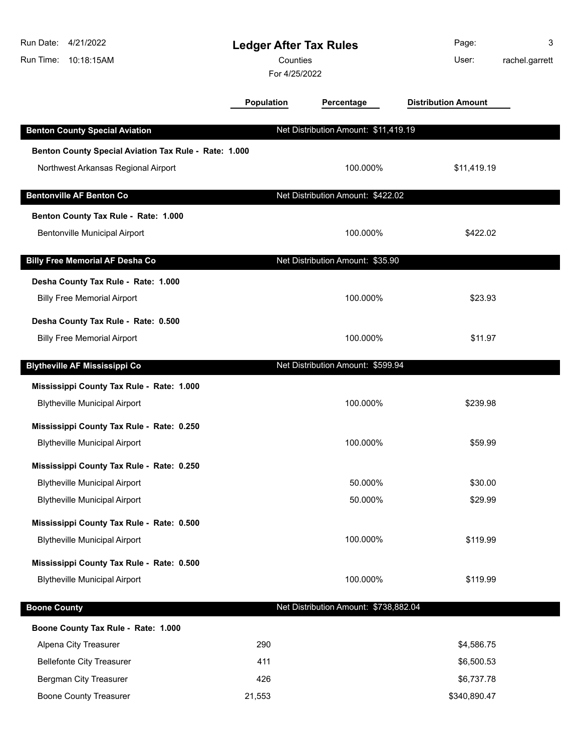| Run Date:           | 4/21/2022                                             | <b>Ledger After Tax Rules</b> |                                       | Page:                      | 3              |
|---------------------|-------------------------------------------------------|-------------------------------|---------------------------------------|----------------------------|----------------|
| Run Time:           | 10:18:15AM                                            | Counties                      |                                       | User:                      | rachel.garrett |
|                     |                                                       | For 4/25/2022                 |                                       |                            |                |
|                     |                                                       | <b>Population</b>             | Percentage                            | <b>Distribution Amount</b> |                |
|                     | <b>Benton County Special Aviation</b>                 |                               | Net Distribution Amount: \$11,419.19  |                            |                |
|                     | Benton County Special Aviation Tax Rule - Rate: 1.000 |                               |                                       |                            |                |
|                     | Northwest Arkansas Regional Airport                   |                               | 100.000%                              | \$11,419.19                |                |
|                     |                                                       |                               |                                       |                            |                |
|                     | <b>Bentonville AF Benton Co</b>                       |                               | Net Distribution Amount: \$422.02     |                            |                |
|                     | Benton County Tax Rule - Rate: 1.000                  |                               |                                       |                            |                |
|                     | Bentonville Municipal Airport                         |                               | 100.000%                              | \$422.02                   |                |
|                     | <b>Billy Free Memorial AF Desha Co</b>                |                               | Net Distribution Amount: \$35.90      |                            |                |
|                     |                                                       |                               |                                       |                            |                |
|                     | Desha County Tax Rule - Rate: 1.000                   |                               |                                       |                            |                |
|                     | <b>Billy Free Memorial Airport</b>                    |                               | 100.000%                              | \$23.93                    |                |
|                     | Desha County Tax Rule - Rate: 0.500                   |                               |                                       |                            |                |
|                     | <b>Billy Free Memorial Airport</b>                    |                               | 100.000%                              | \$11.97                    |                |
|                     | <b>Blytheville AF Mississippi Co</b>                  |                               | Net Distribution Amount: \$599.94     |                            |                |
|                     | Mississippi County Tax Rule - Rate: 1.000             |                               |                                       |                            |                |
|                     | <b>Blytheville Municipal Airport</b>                  |                               | 100.000%                              | \$239.98                   |                |
|                     |                                                       |                               |                                       |                            |                |
|                     | Mississippi County Tax Rule - Rate: 0.250             |                               |                                       |                            |                |
|                     | <b>Blytheville Municipal Airport</b>                  |                               | 100.000%                              | \$59.99                    |                |
|                     | Mississippi County Tax Rule - Rate: 0.250             |                               |                                       |                            |                |
|                     | <b>Blytheville Municipal Airport</b>                  |                               | 50.000%                               | \$30.00                    |                |
|                     | <b>Blytheville Municipal Airport</b>                  |                               | 50.000%                               | \$29.99                    |                |
|                     | Mississippi County Tax Rule - Rate: 0.500             |                               |                                       |                            |                |
|                     | <b>Blytheville Municipal Airport</b>                  |                               | 100.000%                              | \$119.99                   |                |
|                     | Mississippi County Tax Rule - Rate: 0.500             |                               |                                       |                            |                |
|                     | <b>Blytheville Municipal Airport</b>                  |                               | 100.000%                              | \$119.99                   |                |
|                     |                                                       |                               |                                       |                            |                |
| <b>Boone County</b> |                                                       |                               | Net Distribution Amount: \$738,882.04 |                            |                |
|                     | Boone County Tax Rule - Rate: 1.000                   |                               |                                       |                            |                |
|                     | Alpena City Treasurer                                 | 290                           |                                       | \$4,586.75                 |                |
|                     | <b>Bellefonte City Treasurer</b>                      | 411                           |                                       | \$6,500.53                 |                |
|                     | <b>Bergman City Treasurer</b>                         | 426                           |                                       | \$6,737.78                 |                |
|                     | <b>Boone County Treasurer</b>                         | 21,553                        |                                       | \$340,890.47               |                |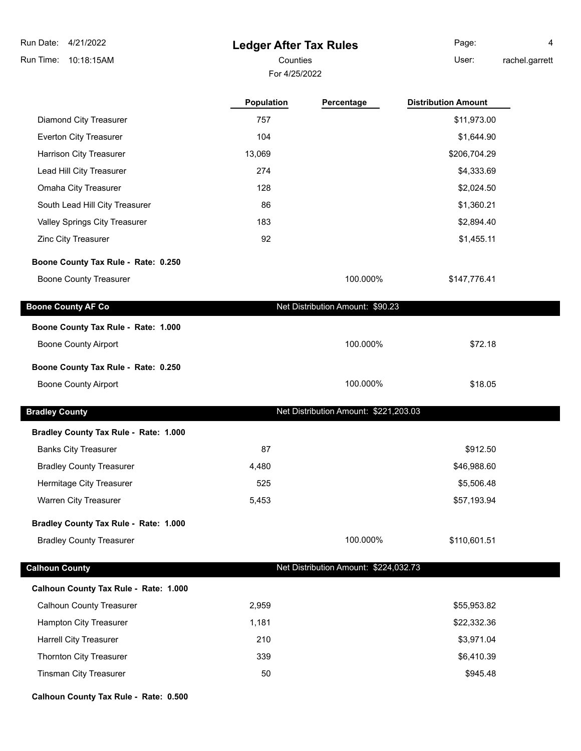# **Ledger After Tax Rules**

For 4/25/2022

Counties **User:** Page: 4

rachel.garrett

| 757<br>Diamond City Treasurer<br>\$11,973.00<br>Everton City Treasurer<br>104<br>\$1,644.90<br>Harrison City Treasurer<br>13,069<br>\$206,704.29<br>274<br>Lead Hill City Treasurer<br>\$4,333.69<br>128<br>Omaha City Treasurer<br>\$2,024.50<br>South Lead Hill City Treasurer<br>86<br>\$1,360.21<br>Valley Springs City Treasurer<br>183<br>\$2,894.40<br>92<br>Zinc City Treasurer<br>\$1,455.11<br>100.000%<br><b>Boone County Treasurer</b><br>\$147,776.41<br>Net Distribution Amount: \$90.23<br>100.000%<br><b>Boone County Airport</b><br>\$72.18<br>100.000%<br><b>Boone County Airport</b><br>\$18.05<br>Net Distribution Amount: \$221,203.03<br>87<br>\$912.50<br><b>Banks City Treasurer</b><br><b>Bradley County Treasurer</b><br>4,480<br>\$46,988.60<br>Hermitage City Treasurer<br>525<br>\$5,506.48<br>Warren City Treasurer<br>5,453<br>\$57,193.94<br>100.000%<br>\$110,601.51<br><b>Bradley County Treasurer</b><br>Net Distribution Amount: \$224,032.73<br><b>Calhoun County Treasurer</b><br>2,959<br>\$55,953.82<br>Hampton City Treasurer<br>1,181<br>\$22,332.36<br>210<br>\$3,971.04<br><b>Harrell City Treasurer</b><br>339<br>\$6,410.39<br>Thornton City Treasurer<br><b>Tinsman City Treasurer</b><br>50<br>\$945.48 |                                       | Population | Percentage | <b>Distribution Amount</b> |
|---------------------------------------------------------------------------------------------------------------------------------------------------------------------------------------------------------------------------------------------------------------------------------------------------------------------------------------------------------------------------------------------------------------------------------------------------------------------------------------------------------------------------------------------------------------------------------------------------------------------------------------------------------------------------------------------------------------------------------------------------------------------------------------------------------------------------------------------------------------------------------------------------------------------------------------------------------------------------------------------------------------------------------------------------------------------------------------------------------------------------------------------------------------------------------------------------------------------------------------------------------|---------------------------------------|------------|------------|----------------------------|
|                                                                                                                                                                                                                                                                                                                                                                                                                                                                                                                                                                                                                                                                                                                                                                                                                                                                                                                                                                                                                                                                                                                                                                                                                                                         |                                       |            |            |                            |
|                                                                                                                                                                                                                                                                                                                                                                                                                                                                                                                                                                                                                                                                                                                                                                                                                                                                                                                                                                                                                                                                                                                                                                                                                                                         |                                       |            |            |                            |
|                                                                                                                                                                                                                                                                                                                                                                                                                                                                                                                                                                                                                                                                                                                                                                                                                                                                                                                                                                                                                                                                                                                                                                                                                                                         |                                       |            |            |                            |
|                                                                                                                                                                                                                                                                                                                                                                                                                                                                                                                                                                                                                                                                                                                                                                                                                                                                                                                                                                                                                                                                                                                                                                                                                                                         |                                       |            |            |                            |
|                                                                                                                                                                                                                                                                                                                                                                                                                                                                                                                                                                                                                                                                                                                                                                                                                                                                                                                                                                                                                                                                                                                                                                                                                                                         |                                       |            |            |                            |
|                                                                                                                                                                                                                                                                                                                                                                                                                                                                                                                                                                                                                                                                                                                                                                                                                                                                                                                                                                                                                                                                                                                                                                                                                                                         |                                       |            |            |                            |
|                                                                                                                                                                                                                                                                                                                                                                                                                                                                                                                                                                                                                                                                                                                                                                                                                                                                                                                                                                                                                                                                                                                                                                                                                                                         |                                       |            |            |                            |
|                                                                                                                                                                                                                                                                                                                                                                                                                                                                                                                                                                                                                                                                                                                                                                                                                                                                                                                                                                                                                                                                                                                                                                                                                                                         |                                       |            |            |                            |
|                                                                                                                                                                                                                                                                                                                                                                                                                                                                                                                                                                                                                                                                                                                                                                                                                                                                                                                                                                                                                                                                                                                                                                                                                                                         | Boone County Tax Rule - Rate: 0.250   |            |            |                            |
|                                                                                                                                                                                                                                                                                                                                                                                                                                                                                                                                                                                                                                                                                                                                                                                                                                                                                                                                                                                                                                                                                                                                                                                                                                                         |                                       |            |            |                            |
|                                                                                                                                                                                                                                                                                                                                                                                                                                                                                                                                                                                                                                                                                                                                                                                                                                                                                                                                                                                                                                                                                                                                                                                                                                                         | <b>Boone County AF Co</b>             |            |            |                            |
|                                                                                                                                                                                                                                                                                                                                                                                                                                                                                                                                                                                                                                                                                                                                                                                                                                                                                                                                                                                                                                                                                                                                                                                                                                                         | Boone County Tax Rule - Rate: 1.000   |            |            |                            |
|                                                                                                                                                                                                                                                                                                                                                                                                                                                                                                                                                                                                                                                                                                                                                                                                                                                                                                                                                                                                                                                                                                                                                                                                                                                         |                                       |            |            |                            |
|                                                                                                                                                                                                                                                                                                                                                                                                                                                                                                                                                                                                                                                                                                                                                                                                                                                                                                                                                                                                                                                                                                                                                                                                                                                         | Boone County Tax Rule - Rate: 0.250   |            |            |                            |
|                                                                                                                                                                                                                                                                                                                                                                                                                                                                                                                                                                                                                                                                                                                                                                                                                                                                                                                                                                                                                                                                                                                                                                                                                                                         |                                       |            |            |                            |
|                                                                                                                                                                                                                                                                                                                                                                                                                                                                                                                                                                                                                                                                                                                                                                                                                                                                                                                                                                                                                                                                                                                                                                                                                                                         | <b>Bradley County</b>                 |            |            |                            |
|                                                                                                                                                                                                                                                                                                                                                                                                                                                                                                                                                                                                                                                                                                                                                                                                                                                                                                                                                                                                                                                                                                                                                                                                                                                         | Bradley County Tax Rule - Rate: 1.000 |            |            |                            |
|                                                                                                                                                                                                                                                                                                                                                                                                                                                                                                                                                                                                                                                                                                                                                                                                                                                                                                                                                                                                                                                                                                                                                                                                                                                         |                                       |            |            |                            |
|                                                                                                                                                                                                                                                                                                                                                                                                                                                                                                                                                                                                                                                                                                                                                                                                                                                                                                                                                                                                                                                                                                                                                                                                                                                         |                                       |            |            |                            |
|                                                                                                                                                                                                                                                                                                                                                                                                                                                                                                                                                                                                                                                                                                                                                                                                                                                                                                                                                                                                                                                                                                                                                                                                                                                         |                                       |            |            |                            |
|                                                                                                                                                                                                                                                                                                                                                                                                                                                                                                                                                                                                                                                                                                                                                                                                                                                                                                                                                                                                                                                                                                                                                                                                                                                         |                                       |            |            |                            |
|                                                                                                                                                                                                                                                                                                                                                                                                                                                                                                                                                                                                                                                                                                                                                                                                                                                                                                                                                                                                                                                                                                                                                                                                                                                         | Bradley County Tax Rule - Rate: 1.000 |            |            |                            |
|                                                                                                                                                                                                                                                                                                                                                                                                                                                                                                                                                                                                                                                                                                                                                                                                                                                                                                                                                                                                                                                                                                                                                                                                                                                         |                                       |            |            |                            |
|                                                                                                                                                                                                                                                                                                                                                                                                                                                                                                                                                                                                                                                                                                                                                                                                                                                                                                                                                                                                                                                                                                                                                                                                                                                         | <b>Calhoun County</b>                 |            |            |                            |
|                                                                                                                                                                                                                                                                                                                                                                                                                                                                                                                                                                                                                                                                                                                                                                                                                                                                                                                                                                                                                                                                                                                                                                                                                                                         | Calhoun County Tax Rule - Rate: 1.000 |            |            |                            |
|                                                                                                                                                                                                                                                                                                                                                                                                                                                                                                                                                                                                                                                                                                                                                                                                                                                                                                                                                                                                                                                                                                                                                                                                                                                         |                                       |            |            |                            |
|                                                                                                                                                                                                                                                                                                                                                                                                                                                                                                                                                                                                                                                                                                                                                                                                                                                                                                                                                                                                                                                                                                                                                                                                                                                         |                                       |            |            |                            |
|                                                                                                                                                                                                                                                                                                                                                                                                                                                                                                                                                                                                                                                                                                                                                                                                                                                                                                                                                                                                                                                                                                                                                                                                                                                         |                                       |            |            |                            |
|                                                                                                                                                                                                                                                                                                                                                                                                                                                                                                                                                                                                                                                                                                                                                                                                                                                                                                                                                                                                                                                                                                                                                                                                                                                         |                                       |            |            |                            |
|                                                                                                                                                                                                                                                                                                                                                                                                                                                                                                                                                                                                                                                                                                                                                                                                                                                                                                                                                                                                                                                                                                                                                                                                                                                         |                                       |            |            |                            |

**Calhoun County Tax Rule - Rate: 0.500**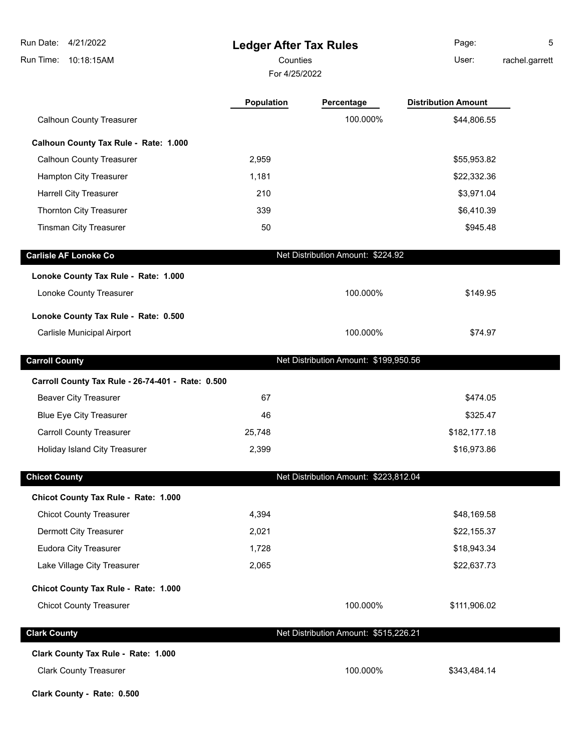| 4/21/2022<br>Run Date:                            | <b>Ledger After Tax Rules</b> |                                       | Page:                      | 5              |
|---------------------------------------------------|-------------------------------|---------------------------------------|----------------------------|----------------|
| Run Time:<br>10:18:15AM                           | Counties<br>For 4/25/2022     |                                       | User:                      | rachel.garrett |
|                                                   | Population                    | Percentage                            | <b>Distribution Amount</b> |                |
| <b>Calhoun County Treasurer</b>                   |                               | 100.000%                              | \$44,806.55                |                |
| Calhoun County Tax Rule - Rate: 1.000             |                               |                                       |                            |                |
| <b>Calhoun County Treasurer</b>                   | 2,959                         |                                       | \$55,953.82                |                |
| Hampton City Treasurer                            | 1,181                         |                                       | \$22,332.36                |                |
| <b>Harrell City Treasurer</b>                     | 210                           |                                       | \$3,971.04                 |                |
| Thornton City Treasurer                           | 339                           |                                       | \$6,410.39                 |                |
| <b>Tinsman City Treasurer</b>                     | 50                            |                                       | \$945.48                   |                |
| <b>Carlisle AF Lonoke Co</b>                      |                               | Net Distribution Amount: \$224.92     |                            |                |
| Lonoke County Tax Rule - Rate: 1.000              |                               |                                       |                            |                |
| Lonoke County Treasurer                           |                               | 100.000%                              | \$149.95                   |                |
| Lonoke County Tax Rule - Rate: 0.500              |                               |                                       |                            |                |
| Carlisle Municipal Airport                        |                               | 100.000%                              | \$74.97                    |                |
| <b>Carroll County</b>                             |                               | Net Distribution Amount: \$199,950.56 |                            |                |
| Carroll County Tax Rule - 26-74-401 - Rate: 0.500 |                               |                                       |                            |                |
| <b>Beaver City Treasurer</b>                      | 67                            |                                       | \$474.05                   |                |
| <b>Blue Eye City Treasurer</b>                    | 46                            |                                       | \$325.47                   |                |
| <b>Carroll County Treasurer</b>                   | 25,748                        |                                       | \$182,177.18               |                |
| Holiday Island City Treasurer                     | 2,399                         |                                       | \$16,973.86                |                |
| <b>Chicot County</b>                              |                               | Net Distribution Amount: \$223,812.04 |                            |                |
| Chicot County Tax Rule - Rate: 1.000              |                               |                                       |                            |                |
| <b>Chicot County Treasurer</b>                    | 4,394                         |                                       | \$48,169.58                |                |
| Dermott City Treasurer                            | 2,021                         |                                       | \$22,155.37                |                |
| <b>Eudora City Treasurer</b>                      | 1,728                         |                                       | \$18,943.34                |                |
| Lake Village City Treasurer                       | 2,065                         |                                       | \$22,637.73                |                |
| Chicot County Tax Rule - Rate: 1.000              |                               |                                       |                            |                |
| <b>Chicot County Treasurer</b>                    |                               | 100.000%                              | \$111,906.02               |                |
| <b>Clark County</b>                               |                               | Net Distribution Amount: \$515,226.21 |                            |                |
| Clark County Tax Rule - Rate: 1.000               |                               |                                       |                            |                |
| <b>Clark County Treasurer</b>                     |                               | 100.000%                              | \$343,484.14               |                |

**Clark County - Rate: 0.500**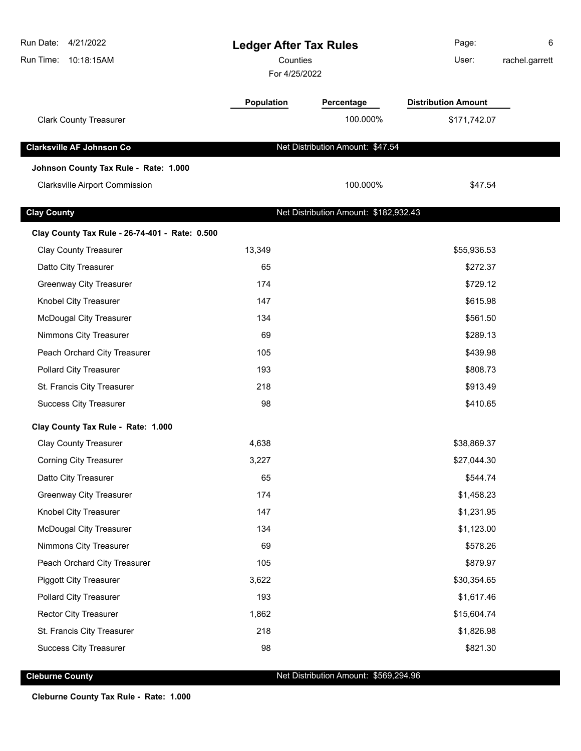| Run Date:<br>4/21/2022<br>Run Time:<br>10:18:15AM | <b>Ledger After Tax Rules</b><br>Counties<br>For 4/25/2022 |                                       | Page:<br>User:             | 6<br>rachel.garrett |
|---------------------------------------------------|------------------------------------------------------------|---------------------------------------|----------------------------|---------------------|
|                                                   | Population                                                 | Percentage                            | <b>Distribution Amount</b> |                     |
| <b>Clark County Treasurer</b>                     |                                                            | 100.000%                              | \$171,742.07               |                     |
| <b>Clarksville AF Johnson Co</b>                  |                                                            | Net Distribution Amount: \$47.54      |                            |                     |
| Johnson County Tax Rule - Rate: 1.000             |                                                            |                                       |                            |                     |
| <b>Clarksville Airport Commission</b>             |                                                            | 100.000%                              | \$47.54                    |                     |
| <b>Clay County</b>                                |                                                            | Net Distribution Amount: \$182,932.43 |                            |                     |
| Clay County Tax Rule - 26-74-401 - Rate: 0.500    |                                                            |                                       |                            |                     |
| <b>Clay County Treasurer</b>                      | 13,349                                                     |                                       | \$55,936.53                |                     |
| Datto City Treasurer                              | 65                                                         |                                       | \$272.37                   |                     |
| <b>Greenway City Treasurer</b>                    | 174                                                        |                                       | \$729.12                   |                     |
| Knobel City Treasurer                             | 147                                                        |                                       | \$615.98                   |                     |
| <b>McDougal City Treasurer</b>                    | 134                                                        |                                       | \$561.50                   |                     |
| Nimmons City Treasurer                            | 69                                                         |                                       | \$289.13                   |                     |
| Peach Orchard City Treasurer                      | 105                                                        |                                       | \$439.98                   |                     |
| <b>Pollard City Treasurer</b>                     | 193                                                        |                                       | \$808.73                   |                     |
| St. Francis City Treasurer                        | 218                                                        |                                       | \$913.49                   |                     |
| <b>Success City Treasurer</b>                     | 98                                                         |                                       | \$410.65                   |                     |
| Clay County Tax Rule - Rate: 1.000                |                                                            |                                       |                            |                     |
| <b>Clay County Treasurer</b>                      | 4,638                                                      |                                       | \$38,869.37                |                     |
| <b>Corning City Treasurer</b>                     | 3,227                                                      |                                       | \$27,044.30                |                     |
| Datto City Treasurer                              | 65                                                         |                                       | \$544.74                   |                     |
| <b>Greenway City Treasurer</b>                    | 174                                                        |                                       | \$1,458.23                 |                     |
| Knobel City Treasurer                             | 147                                                        |                                       | \$1,231.95                 |                     |
| <b>McDougal City Treasurer</b>                    | 134                                                        |                                       | \$1,123.00                 |                     |
| Nimmons City Treasurer                            | 69                                                         |                                       | \$578.26                   |                     |
| Peach Orchard City Treasurer                      | 105                                                        |                                       | \$879.97                   |                     |
| <b>Piggott City Treasurer</b>                     | 3,622                                                      |                                       | \$30,354.65                |                     |
| <b>Pollard City Treasurer</b>                     | 193                                                        |                                       | \$1,617.46                 |                     |
| <b>Rector City Treasurer</b>                      | 1,862                                                      |                                       | \$15,604.74                |                     |
| St. Francis City Treasurer                        | 218                                                        |                                       | \$1,826.98                 |                     |
| <b>Success City Treasurer</b>                     | 98                                                         |                                       | \$821.30                   |                     |
|                                                   |                                                            |                                       |                            |                     |

**Cleburne County Cleburne County Cleburne County Net Distribution Amount: \$569,294.96** 

**Cleburne County Tax Rule - Rate: 1.000**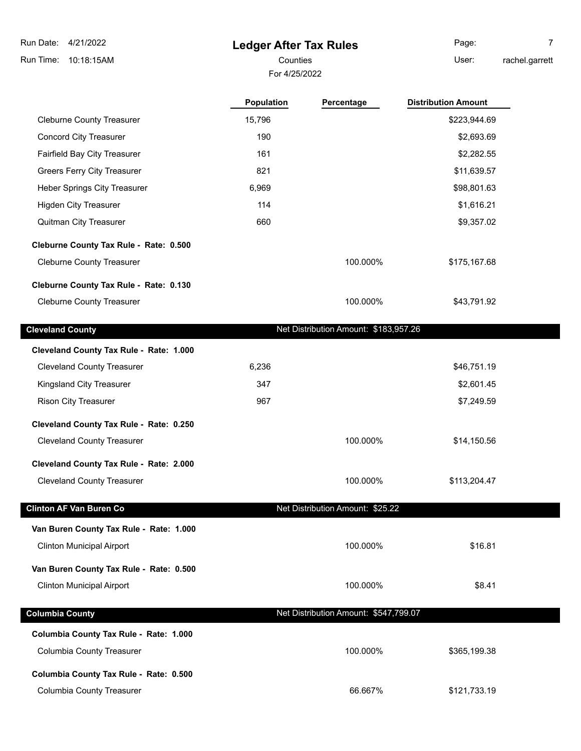# **Ledger After Tax Rules**

For 4/25/2022

Counties **User:** Page: 7

rachel.garrett

|                                         | Population | Percentage                            | <b>Distribution Amount</b> |
|-----------------------------------------|------------|---------------------------------------|----------------------------|
| <b>Cleburne County Treasurer</b>        | 15,796     |                                       | \$223,944.69               |
| <b>Concord City Treasurer</b>           | 190        |                                       | \$2,693.69                 |
| Fairfield Bay City Treasurer            | 161        |                                       | \$2,282.55                 |
| <b>Greers Ferry City Treasurer</b>      | 821        |                                       | \$11,639.57                |
| Heber Springs City Treasurer            | 6,969      |                                       | \$98,801.63                |
| <b>Higden City Treasurer</b>            | 114        |                                       | \$1,616.21                 |
| Quitman City Treasurer                  | 660        |                                       | \$9,357.02                 |
| Cleburne County Tax Rule - Rate: 0.500  |            |                                       |                            |
| <b>Cleburne County Treasurer</b>        |            | 100.000%                              | \$175,167.68               |
| Cleburne County Tax Rule - Rate: 0.130  |            |                                       |                            |
| <b>Cleburne County Treasurer</b>        |            | 100.000%                              | \$43,791.92                |
| <b>Cleveland County</b>                 |            | Net Distribution Amount: \$183,957.26 |                            |
| Cleveland County Tax Rule - Rate: 1.000 |            |                                       |                            |
| <b>Cleveland County Treasurer</b>       | 6,236      |                                       | \$46,751.19                |
| Kingsland City Treasurer                | 347        |                                       | \$2,601.45                 |
| <b>Rison City Treasurer</b>             | 967        |                                       | \$7,249.59                 |
| Cleveland County Tax Rule - Rate: 0.250 |            |                                       |                            |
| <b>Cleveland County Treasurer</b>       |            | 100.000%                              | \$14,150.56                |
|                                         |            |                                       |                            |
| Cleveland County Tax Rule - Rate: 2.000 |            |                                       |                            |
| <b>Cleveland County Treasurer</b>       |            | 100.000%                              | \$113,204.47               |
| <b>Clinton AF Van Buren Co</b>          |            | Net Distribution Amount: \$25.22      |                            |
| Van Buren County Tax Rule - Rate: 1.000 |            |                                       |                            |
| <b>Clinton Municipal Airport</b>        |            | 100.000%                              | \$16.81                    |
| Van Buren County Tax Rule - Rate: 0.500 |            |                                       |                            |
| <b>Clinton Municipal Airport</b>        |            | 100.000%                              | \$8.41                     |
|                                         |            |                                       |                            |
| <b>Columbia County</b>                  |            | Net Distribution Amount: \$547,799.07 |                            |
| Columbia County Tax Rule - Rate: 1.000  |            |                                       |                            |
| <b>Columbia County Treasurer</b>        |            | 100.000%                              | \$365,199.38               |
| Columbia County Tax Rule - Rate: 0.500  |            |                                       |                            |
| <b>Columbia County Treasurer</b>        |            | 66.667%                               | \$121,733.19               |
|                                         |            |                                       |                            |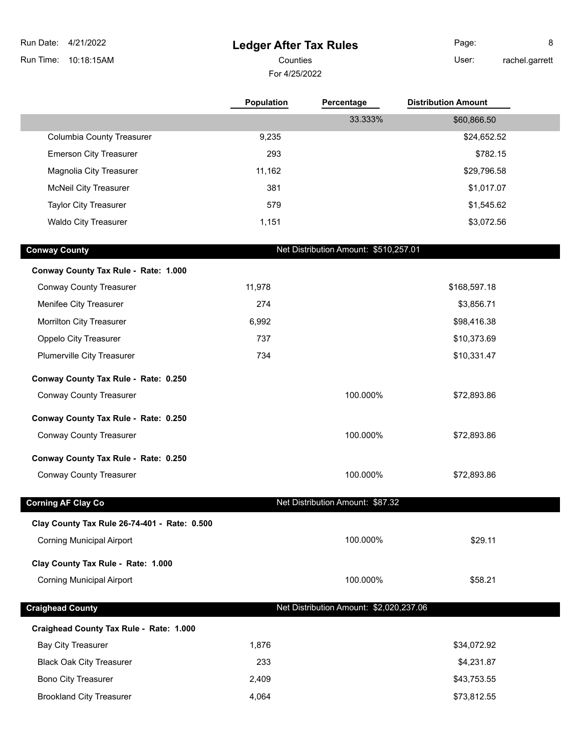**Ledger After Tax Rules** Run Time: 10:18:15AM Run Date: 4/21/2022 For 4/25/2022 Counties **Counties** User: Page: 8 rachel.garrett **Population Percentage Distribution Amount** 33.333% \$60,866.50 Columbia County Treasurer 1992 10:00 10:00 10:00 10:00 10:00 10:00 10:00 10:00 10:00 10:00 10:00 10:00 10:00 1 Emerson City Treasurer 293 **\$782.15** \$782.15 Magnolia City Treasurer 11,162 \$29,796.58 McNeil City Treasurer 381 \$1,017.07 Taylor City Treasurer 679 \$1,545.62 Waldo City Treasurer 1,151 \$3,072.56 **Conway County** County **Conway County** Conway County **Net Distribution Amount:** \$510,257.01 **Conway County Tax Rule - Rate: 1.000** Conway County Treasurer 11,978 \$168,597.18 Menifee City Treasurer 274 **274** \$3,856.71 Morrilton City Treasurer 1988 1992 1992 1993 1994 16:38 Oppelo City Treasurer **6. The Studies of the City Treasurer 1237** \$10,373.69 Plumerville City Treasurer 1988 and 1992 and 1994 and 1994 and 1997 and 1998 and 1998 and 1998 and 1998 and 19 **Conway County Tax Rule - Rate: 0.250** Conway County Treasurer 100.000% \$72,893.86 **Conway County Tax Rule - Rate: 0.250** Conway County Treasurer 100.000% \$72,893.86 **Conway County Tax Rule - Rate: 0.250** Conway County Treasurer 100.000% \$72,893.86 **Corning AF Clay Co Net Distribution Amount: \$87.32 Clay County Tax Rule 26-74-401 - Rate: 0.500** Corning Municipal Airport 100.000% \$29.11 **Clay County Tax Rule - Rate: 1.000** Corning Municipal Airport 100.000% \$58.21 **Craighead County** Craighead County **Net Distribution Amount: \$2,020,237.06 Craighead County Tax Rule - Rate: 1.000**

Bay City Treasurer **1,876** \$34,072.92 Black Oak City Treasurer 233 \$4,231.87 Bono City Treasurer 2,409 \$43,753.55 Brookland City Treasurer and the state of the 4,064 \$73,812.55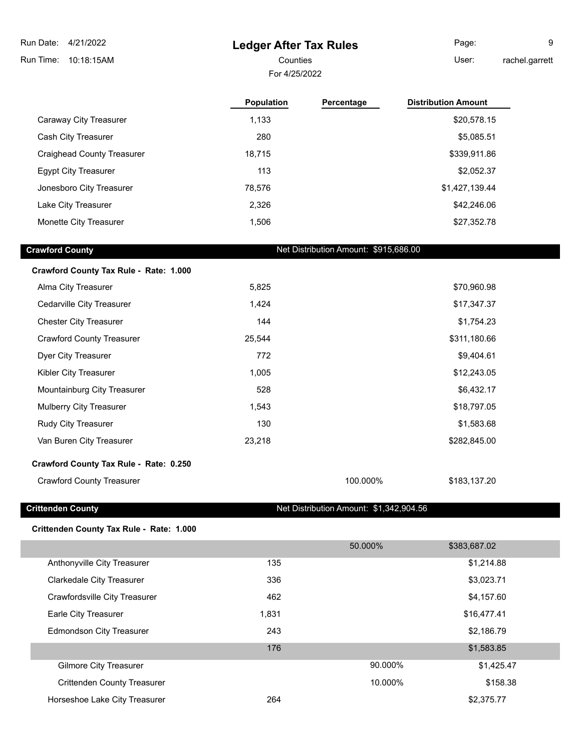# **Ledger After Tax Rules**

Page: 9

Counties **User:** 

rachel.garrett

For 4/25/2022

|                                        | <b>Population</b> | Percentage                            | <b>Distribution Amount</b> |
|----------------------------------------|-------------------|---------------------------------------|----------------------------|
| Caraway City Treasurer                 | 1,133             |                                       | \$20,578.15                |
| Cash City Treasurer                    | 280               |                                       | \$5,085.51                 |
| <b>Craighead County Treasurer</b>      | 18,715            |                                       | \$339,911.86               |
| <b>Egypt City Treasurer</b>            | 113               |                                       | \$2,052.37                 |
| Jonesboro City Treasurer               | 78,576            |                                       | \$1,427,139.44             |
| Lake City Treasurer                    | 2,326             |                                       | \$42,246.06                |
| Monette City Treasurer                 | 1,506             |                                       | \$27,352.78                |
| <b>Crawford County</b>                 |                   | Net Distribution Amount: \$915,686.00 |                            |
| Crawford County Tax Rule - Rate: 1.000 |                   |                                       |                            |
| Alma City Treasurer                    | 5,825             |                                       | \$70,960.98                |

| Cedarville City Treasurer              | 1,424  |          | \$17,347.37  |
|----------------------------------------|--------|----------|--------------|
| <b>Chester City Treasurer</b>          | 144    |          | \$1,754.23   |
| <b>Crawford County Treasurer</b>       | 25,544 |          | \$311,180.66 |
| Dyer City Treasurer                    | 772    |          | \$9,404.61   |
| Kibler City Treasurer                  | 1,005  |          | \$12,243.05  |
| Mountainburg City Treasurer            | 528    |          | \$6,432.17   |
| Mulberry City Treasurer                | 1,543  |          | \$18,797.05  |
| Rudy City Treasurer                    | 130    |          | \$1,583.68   |
| Van Buren City Treasurer               | 23,218 |          | \$282,845.00 |
| Crawford County Tax Rule - Rate: 0.250 |        |          |              |
| <b>Crawford County Treasurer</b>       |        | 100.000% | \$183,137.20 |

**Crittenden County** Crittenden County **Crittenden County** 2014 10:342,904 10:456

#### **Crittenden County Tax Rule - Rate: 1.000**

|                                    |       | 50.000% | \$383,687.02 |  |
|------------------------------------|-------|---------|--------------|--|
| Anthonyville City Treasurer        | 135   |         | \$1,214.88   |  |
| <b>Clarkedale City Treasurer</b>   | 336   |         | \$3,023.71   |  |
| Crawfordsville City Treasurer      | 462   |         | \$4,157.60   |  |
| Earle City Treasurer               | 1,831 |         | \$16,477.41  |  |
| <b>Edmondson City Treasurer</b>    | 243   |         | \$2,186.79   |  |
|                                    | 176   |         | \$1,583.85   |  |
| <b>Gilmore City Treasurer</b>      |       | 90.000% | \$1,425.47   |  |
| <b>Crittenden County Treasurer</b> |       | 10.000% | \$158.38     |  |
| Horseshoe Lake City Treasurer      | 264   |         | \$2,375.77   |  |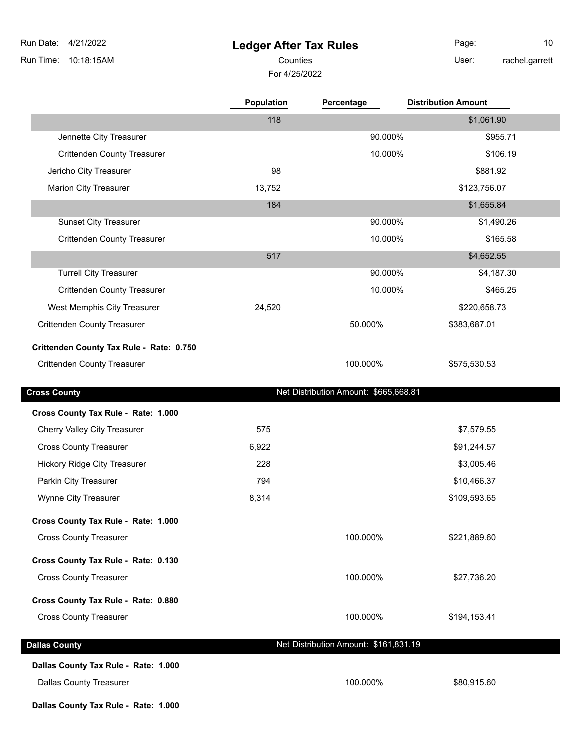#### **Ledger After Tax Rules**

For 4/25/2022

dennette City Treasurer **1998** Superior City Treasurer 1998 Superior 1998 Superior 1998 Superior 1998 Superior 1 Crittenden County Treasurer 10.000% \$106.19

Jericho City Treasurer **6881.92 198 \$881.92 \$881.92** 

Counties User:

**Population Percentage Distribution Amount**

118 \$1,061.90

Page: 10 rachel.garrett

| <b>Marion City Treasurer</b>             | 13,752 |         | \$123,756.07 |
|------------------------------------------|--------|---------|--------------|
|                                          | 184    |         | \$1,655.84   |
| <b>Sunset City Treasurer</b>             |        | 90.000% | \$1,490.26   |
| <b>Crittenden County Treasurer</b>       |        | 10.000% | \$165.58     |
|                                          | 517    |         | \$4,652.55   |
| <b>Turrell City Treasurer</b>            |        | 90.000% | \$4,187.30   |
| <b>Crittenden County Treasurer</b>       |        | 10.000% | \$465.25     |
| West Memphis City Treasurer              | 24.520 |         | \$220,658.73 |
| Crittenden County Treasurer              |        | 50.000% | \$383,687.01 |
| rittenden County Tax Rule - Rate: 0.750. |        |         |              |

#### **Crittenden County Tax Rule - Rate: 0.750**

Crittenden County Treasurer and the state of the state of the 100.000% \$575,530.53

**Cross County Cross County Net Distribution Amount: \$665,668.81** 

| Cross County Tax Rule - Rate: 1.000 |       |                                       |              |  |
|-------------------------------------|-------|---------------------------------------|--------------|--|
| Cherry Valley City Treasurer        | 575   |                                       | \$7,579.55   |  |
| <b>Cross County Treasurer</b>       | 6,922 |                                       | \$91,244.57  |  |
| Hickory Ridge City Treasurer        | 228   |                                       | \$3,005.46   |  |
| Parkin City Treasurer               | 794   |                                       | \$10,466.37  |  |
| Wynne City Treasurer                | 8,314 |                                       | \$109,593.65 |  |
| Cross County Tax Rule - Rate: 1.000 |       |                                       |              |  |
| <b>Cross County Treasurer</b>       |       | 100.000%                              | \$221,889.60 |  |
| Cross County Tax Rule - Rate: 0.130 |       |                                       |              |  |
| <b>Cross County Treasurer</b>       |       | 100.000%                              | \$27,736.20  |  |
| Cross County Tax Rule - Rate: 0.880 |       |                                       |              |  |
| <b>Cross County Treasurer</b>       |       | 100.000%                              | \$194,153.41 |  |
| <b>Dallas County</b>                |       | Net Distribution Amount: \$161,831.19 |              |  |
|                                     |       |                                       |              |  |

# **Dallas County Tax Rule - Rate: 1.000**

Dallas County Treasurer **100.000%** \$80,915.60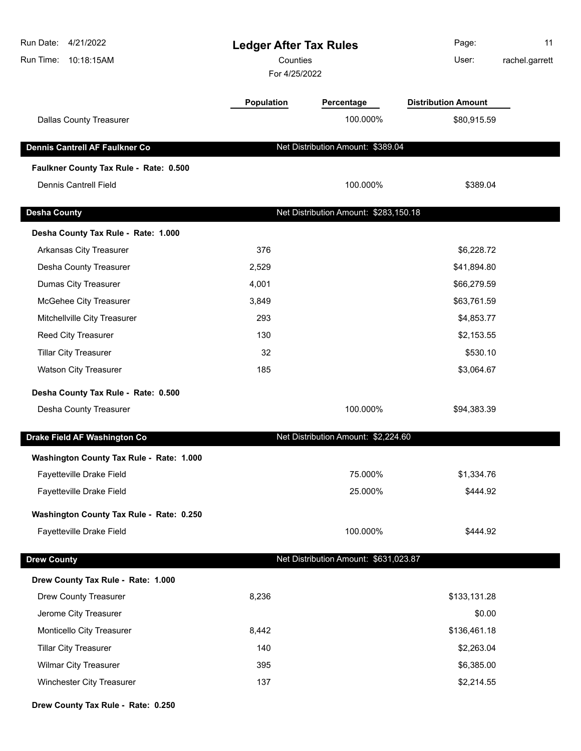| Run Date:<br>4/21/2022<br>Run Time:<br>10:18:15AM |                   | Page:<br><b>Ledger After Tax Rules</b><br>Counties<br>User:<br>For 4/25/2022 |                            | 11<br>rachel.garrett |
|---------------------------------------------------|-------------------|------------------------------------------------------------------------------|----------------------------|----------------------|
|                                                   | <b>Population</b> | Percentage                                                                   | <b>Distribution Amount</b> |                      |
| <b>Dallas County Treasurer</b>                    |                   | 100.000%                                                                     | \$80,915.59                |                      |
| <b>Dennis Cantrell AF Faulkner Co</b>             |                   | Net Distribution Amount: \$389.04                                            |                            |                      |
| Faulkner County Tax Rule - Rate: 0.500            |                   |                                                                              |                            |                      |
| <b>Dennis Cantrell Field</b>                      |                   | 100.000%                                                                     | \$389.04                   |                      |
| <b>Desha County</b>                               |                   | Net Distribution Amount: \$283,150.18                                        |                            |                      |
| Desha County Tax Rule - Rate: 1.000               |                   |                                                                              |                            |                      |
| Arkansas City Treasurer                           | 376               |                                                                              | \$6,228.72                 |                      |
| Desha County Treasurer                            | 2,529             |                                                                              | \$41,894.80                |                      |
| <b>Dumas City Treasurer</b>                       | 4,001             |                                                                              | \$66,279.59                |                      |
| McGehee City Treasurer                            | 3,849             |                                                                              | \$63,761.59                |                      |
| Mitchellville City Treasurer                      | 293               |                                                                              | \$4,853.77                 |                      |
| Reed City Treasurer                               | 130               |                                                                              | \$2,153.55                 |                      |
| <b>Tillar City Treasurer</b>                      | 32                |                                                                              | \$530.10                   |                      |
| <b>Watson City Treasurer</b>                      | 185               |                                                                              | \$3,064.67                 |                      |
| Desha County Tax Rule - Rate: 0.500               |                   |                                                                              |                            |                      |
| Desha County Treasurer                            |                   | 100.000%                                                                     | \$94,383.39                |                      |
| Drake Field AF Washington Co                      |                   | Net Distribution Amount: \$2,224.60                                          |                            |                      |
| Washington County Tax Rule - Rate: 1.000          |                   |                                                                              |                            |                      |
| Fayetteville Drake Field                          |                   | 75.000%                                                                      | \$1,334.76                 |                      |
| Fayetteville Drake Field                          |                   | 25.000%                                                                      | \$444.92                   |                      |
| Washington County Tax Rule - Rate: 0.250          |                   |                                                                              |                            |                      |
| Fayetteville Drake Field                          |                   | 100.000%                                                                     | \$444.92                   |                      |
| <b>Drew County</b>                                |                   | Net Distribution Amount: \$631,023.87                                        |                            |                      |
| Drew County Tax Rule - Rate: 1.000                |                   |                                                                              |                            |                      |
| <b>Drew County Treasurer</b>                      | 8,236             |                                                                              | \$133,131.28               |                      |
| Jerome City Treasurer                             |                   |                                                                              | \$0.00                     |                      |
| Monticello City Treasurer                         | 8,442             |                                                                              | \$136,461.18               |                      |
| <b>Tillar City Treasurer</b>                      | 140               |                                                                              | \$2,263.04                 |                      |
| <b>Wilmar City Treasurer</b>                      | 395               |                                                                              | \$6,385.00                 |                      |
| Winchester City Treasurer                         | 137               |                                                                              | \$2,214.55                 |                      |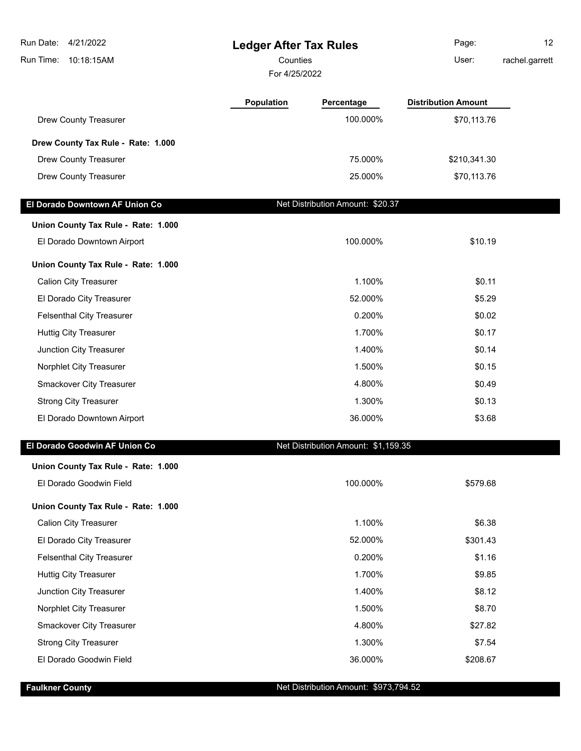| Run Date: 4/21/2022                 | <b>Ledger After Tax Rules</b> |                                     | Page:                      | 12 <sup>2</sup> |
|-------------------------------------|-------------------------------|-------------------------------------|----------------------------|-----------------|
| 10:18:15AM<br>Run Time:             | Counties                      |                                     | User:                      | rachel.garrett  |
|                                     | For 4/25/2022                 |                                     |                            |                 |
|                                     | <b>Population</b>             | Percentage                          | <b>Distribution Amount</b> |                 |
| Drew County Treasurer               |                               | 100.000%                            | \$70,113.76                |                 |
| Drew County Tax Rule - Rate: 1.000  |                               |                                     |                            |                 |
| Drew County Treasurer               |                               | 75.000%                             | \$210,341.30               |                 |
| Drew County Treasurer               |                               | 25.000%                             | \$70,113.76                |                 |
| El Dorado Downtown AF Union Co      |                               | Net Distribution Amount: \$20.37    |                            |                 |
| Union County Tax Rule - Rate: 1.000 |                               |                                     |                            |                 |
| El Dorado Downtown Airport          |                               | 100.000%                            | \$10.19                    |                 |
| Union County Tax Rule - Rate: 1.000 |                               |                                     |                            |                 |
| <b>Calion City Treasurer</b>        |                               | 1.100%                              | \$0.11                     |                 |
| El Dorado City Treasurer            |                               | 52.000%                             | \$5.29                     |                 |
| <b>Felsenthal City Treasurer</b>    |                               | 0.200%                              | \$0.02                     |                 |
| <b>Huttig City Treasurer</b>        |                               | 1.700%                              | \$0.17                     |                 |
| Junction City Treasurer             |                               | 1.400%                              | \$0.14                     |                 |
| Norphlet City Treasurer             |                               | 1.500%                              | \$0.15                     |                 |
| Smackover City Treasurer            |                               | 4.800%                              | \$0.49                     |                 |
| <b>Strong City Treasurer</b>        |                               | 1.300%                              | \$0.13                     |                 |
| El Dorado Downtown Airport          |                               | 36.000%                             | \$3.68                     |                 |
| El Dorado Goodwin AF Union Co       |                               | Net Distribution Amount: \$1,159.35 |                            |                 |
| Union County Tax Rule - Rate: 1.000 |                               |                                     |                            |                 |
| El Dorado Goodwin Field             |                               | 100.000%                            | \$579.68                   |                 |
| Union County Tax Rule - Rate: 1.000 |                               |                                     |                            |                 |
| <b>Calion City Treasurer</b>        |                               | 1.100%                              | \$6.38                     |                 |
| El Dorado City Treasurer            |                               | 52.000%                             | \$301.43                   |                 |
| <b>Felsenthal City Treasurer</b>    |                               | 0.200%                              | \$1.16                     |                 |
| <b>Huttig City Treasurer</b>        |                               | 1.700%                              | \$9.85                     |                 |
| Junction City Treasurer             |                               | 1.400%                              | \$8.12                     |                 |
| Norphlet City Treasurer             |                               | 1.500%                              | \$8.70                     |                 |
| Smackover City Treasurer            |                               | 4.800%                              | \$27.82                    |                 |
| <b>Strong City Treasurer</b>        |                               | 1.300%                              | \$7.54                     |                 |
| El Dorado Goodwin Field             |                               | 36.000%                             | \$208.67                   |                 |

#### **Faulkner County Faulkner County Faulkner County Net Distribution Amount: \$973,794.52**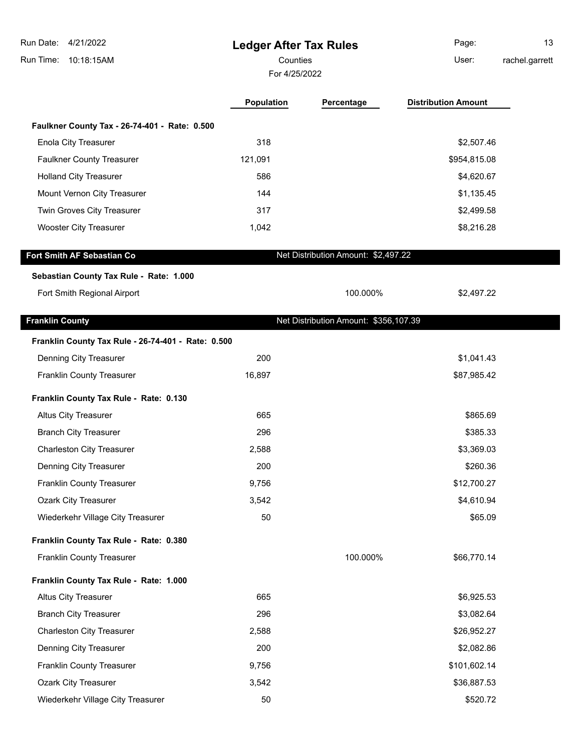| Run Date: 4/21/2022<br>Run Time:<br>10:18:15AM     |                   | <b>Ledger After Tax Rules</b><br>Counties<br>For 4/25/2022 |                            | 13<br>rachel.garrett |
|----------------------------------------------------|-------------------|------------------------------------------------------------|----------------------------|----------------------|
|                                                    | <b>Population</b> | Percentage                                                 | <b>Distribution Amount</b> |                      |
| Faulkner County Tax - 26-74-401 - Rate: 0.500      |                   |                                                            |                            |                      |
| <b>Enola City Treasurer</b>                        | 318               |                                                            | \$2,507.46                 |                      |
| <b>Faulkner County Treasurer</b>                   | 121,091           |                                                            | \$954,815.08               |                      |
| <b>Holland City Treasurer</b>                      | 586               |                                                            | \$4,620.67                 |                      |
| Mount Vernon City Treasurer                        | 144               |                                                            | \$1,135.45                 |                      |
| Twin Groves City Treasurer                         | 317               |                                                            | \$2,499.58                 |                      |
| <b>Wooster City Treasurer</b>                      | 1,042             |                                                            | \$8,216.28                 |                      |
| Fort Smith AF Sebastian Co                         |                   | Net Distribution Amount: \$2,497.22                        |                            |                      |
| Sebastian County Tax Rule - Rate: 1.000            |                   |                                                            |                            |                      |
| Fort Smith Regional Airport                        |                   | 100.000%                                                   | \$2,497.22                 |                      |
| <b>Franklin County</b>                             |                   | Net Distribution Amount: \$356,107.39                      |                            |                      |
| Franklin County Tax Rule - 26-74-401 - Rate: 0.500 |                   |                                                            |                            |                      |
| Denning City Treasurer                             | 200               |                                                            | \$1,041.43                 |                      |
| <b>Franklin County Treasurer</b>                   | 16,897            |                                                            | \$87,985.42                |                      |
| Franklin County Tax Rule - Rate: 0.130             |                   |                                                            |                            |                      |
| Altus City Treasurer                               | 665               |                                                            | \$865.69                   |                      |
| <b>Branch City Treasurer</b>                       | 296               |                                                            | \$385.33                   |                      |
| <b>Charleston City Treasurer</b>                   | 2,588             |                                                            | \$3,369.03                 |                      |
| Denning City Treasurer                             | 200               |                                                            | \$260.36                   |                      |
| Franklin County Treasurer                          | 9,756             |                                                            | \$12,700.27                |                      |
| <b>Ozark City Treasurer</b>                        | 3,542             |                                                            | \$4,610.94                 |                      |
| Wiederkehr Village City Treasurer                  | 50                |                                                            | \$65.09                    |                      |
| Franklin County Tax Rule - Rate: 0.380             |                   |                                                            |                            |                      |
| <b>Franklin County Treasurer</b>                   |                   | 100.000%                                                   | \$66,770.14                |                      |
| Franklin County Tax Rule - Rate: 1.000             |                   |                                                            |                            |                      |
| <b>Altus City Treasurer</b>                        | 665               |                                                            | \$6,925.53                 |                      |
| <b>Branch City Treasurer</b>                       | 296               |                                                            | \$3,082.64                 |                      |
| <b>Charleston City Treasurer</b>                   | 2,588             |                                                            | \$26,952.27                |                      |
| Denning City Treasurer                             | 200               |                                                            | \$2,082.86                 |                      |
| Franklin County Treasurer                          | 9,756             |                                                            | \$101,602.14               |                      |
| <b>Ozark City Treasurer</b>                        | 3,542             |                                                            | \$36,887.53                |                      |
| Wiederkehr Village City Treasurer                  | 50                |                                                            | \$520.72                   |                      |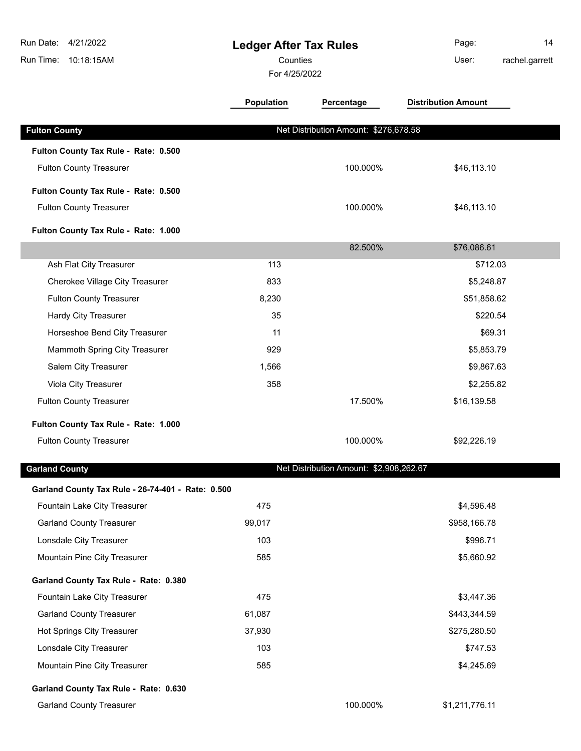| Run Date:<br>4/21/2022<br>10:18:15AM<br>Run Time: | <b>Ledger After Tax Rules</b><br>Counties<br>For 4/25/2022 |                                         | Page:<br>14<br>User:<br>rachel.garrett |
|---------------------------------------------------|------------------------------------------------------------|-----------------------------------------|----------------------------------------|
|                                                   | <b>Population</b>                                          | Percentage                              | <b>Distribution Amount</b>             |
| <b>Fulton County</b>                              |                                                            | Net Distribution Amount: \$276,678.58   |                                        |
| Fulton County Tax Rule - Rate: 0.500              |                                                            |                                         |                                        |
| <b>Fulton County Treasurer</b>                    |                                                            | 100.000%                                | \$46,113.10                            |
| Fulton County Tax Rule - Rate: 0.500              |                                                            |                                         |                                        |
| <b>Fulton County Treasurer</b>                    |                                                            | 100.000%                                | \$46,113.10                            |
| Fulton County Tax Rule - Rate: 1.000              |                                                            |                                         |                                        |
|                                                   |                                                            | 82.500%                                 | \$76,086.61                            |
| Ash Flat City Treasurer                           | 113                                                        |                                         | \$712.03                               |
| Cherokee Village City Treasurer                   | 833                                                        |                                         | \$5,248.87                             |
| <b>Fulton County Treasurer</b>                    | 8,230                                                      |                                         | \$51,858.62                            |
| Hardy City Treasurer                              | 35                                                         |                                         | \$220.54                               |
| Horseshoe Bend City Treasurer                     | 11                                                         |                                         | \$69.31                                |
| Mammoth Spring City Treasurer                     | 929                                                        |                                         | \$5,853.79                             |
| Salem City Treasurer                              | 1,566                                                      |                                         | \$9,867.63                             |
| Viola City Treasurer                              | 358                                                        |                                         | \$2,255.82                             |
| <b>Fulton County Treasurer</b>                    |                                                            | 17.500%                                 | \$16,139.58                            |
| Fulton County Tax Rule - Rate: 1.000              |                                                            |                                         |                                        |
| <b>Fulton County Treasurer</b>                    |                                                            | 100.000%                                | \$92,226.19                            |
| <b>Garland County</b>                             |                                                            | Net Distribution Amount: \$2,908,262.67 |                                        |
| Garland County Tax Rule - 26-74-401 - Rate: 0.500 |                                                            |                                         |                                        |
| Fountain Lake City Treasurer                      | 475                                                        |                                         | \$4,596.48                             |
| <b>Garland County Treasurer</b>                   | 99,017                                                     |                                         | \$958,166.78                           |
| Lonsdale City Treasurer                           | 103                                                        |                                         | \$996.71                               |
| Mountain Pine City Treasurer                      | 585                                                        |                                         | \$5,660.92                             |
| Garland County Tax Rule - Rate: 0.380             |                                                            |                                         |                                        |
| Fountain Lake City Treasurer                      | 475                                                        |                                         | \$3,447.36                             |
| <b>Garland County Treasurer</b>                   | 61,087                                                     |                                         | \$443,344.59                           |
| Hot Springs City Treasurer                        | 37,930                                                     |                                         | \$275,280.50                           |
| Lonsdale City Treasurer                           | 103                                                        |                                         | \$747.53                               |
| Mountain Pine City Treasurer                      | 585                                                        |                                         | \$4,245.69                             |
| Garland County Tax Rule - Rate: 0.630             |                                                            |                                         |                                        |
| <b>Garland County Treasurer</b>                   |                                                            | 100.000%                                | \$1,211,776.11                         |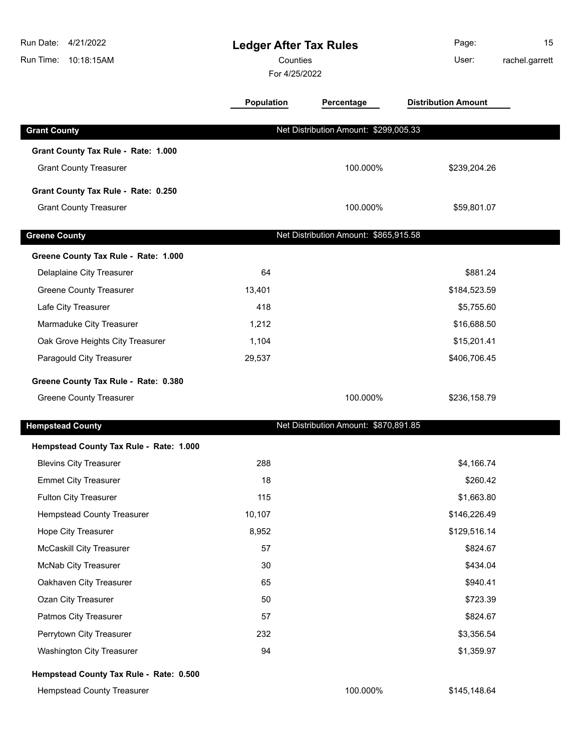| Run Date: 4/21/2022<br>Run Time: 10:18:15AM | <b>Ledger After Tax Rules</b><br>Counties<br>For 4/25/2022 |                                       | Page:<br>User:             | 15<br>rachel.garrett |
|---------------------------------------------|------------------------------------------------------------|---------------------------------------|----------------------------|----------------------|
|                                             | <b>Population</b>                                          | Percentage                            | <b>Distribution Amount</b> |                      |
| <b>Grant County</b>                         |                                                            | Net Distribution Amount: \$299,005.33 |                            |                      |
| Grant County Tax Rule - Rate: 1.000         |                                                            |                                       |                            |                      |
| <b>Grant County Treasurer</b>               |                                                            | 100.000%                              | \$239,204.26               |                      |
| Grant County Tax Rule - Rate: 0.250         |                                                            |                                       |                            |                      |
| <b>Grant County Treasurer</b>               |                                                            | 100.000%                              | \$59,801.07                |                      |
| <b>Greene County</b>                        |                                                            | Net Distribution Amount: \$865,915.58 |                            |                      |
| Greene County Tax Rule - Rate: 1.000        |                                                            |                                       |                            |                      |
| Delaplaine City Treasurer                   | 64                                                         |                                       | \$881.24                   |                      |
| <b>Greene County Treasurer</b>              | 13,401                                                     |                                       | \$184,523.59               |                      |
| Lafe City Treasurer                         | 418                                                        |                                       | \$5,755.60                 |                      |
| Marmaduke City Treasurer                    | 1,212                                                      |                                       | \$16,688.50                |                      |
| Oak Grove Heights City Treasurer            | 1,104                                                      |                                       | \$15,201.41                |                      |
| Paragould City Treasurer                    | 29,537                                                     |                                       | \$406,706.45               |                      |
| Greene County Tax Rule - Rate: 0.380        |                                                            |                                       |                            |                      |
| <b>Greene County Treasurer</b>              |                                                            | 100.000%                              | \$236,158.79               |                      |
| <b>Hempstead County</b>                     |                                                            | Net Distribution Amount: \$870,891.85 |                            |                      |
| Hempstead County Tax Rule - Rate: 1.000     |                                                            |                                       |                            |                      |
| <b>Blevins City Treasurer</b>               | 288                                                        |                                       | \$4,166.74                 |                      |
| <b>Emmet City Treasurer</b>                 | 18                                                         |                                       | \$260.42                   |                      |
| Fulton City Treasurer                       | 115                                                        |                                       | \$1,663.80                 |                      |
| <b>Hempstead County Treasurer</b>           | 10,107                                                     |                                       | \$146,226.49               |                      |
| Hope City Treasurer                         | 8,952                                                      |                                       | \$129,516.14               |                      |
| <b>McCaskill City Treasurer</b>             | 57                                                         |                                       | \$824.67                   |                      |
| McNab City Treasurer                        | 30                                                         |                                       | \$434.04                   |                      |
| Oakhaven City Treasurer                     | 65                                                         |                                       | \$940.41                   |                      |
| Ozan City Treasurer                         | 50                                                         |                                       | \$723.39                   |                      |
| Patmos City Treasurer                       | 57                                                         |                                       | \$824.67                   |                      |
| Perrytown City Treasurer                    | 232                                                        |                                       | \$3,356.54                 |                      |
| <b>Washington City Treasurer</b>            | 94                                                         |                                       | \$1,359.97                 |                      |
| Hempstead County Tax Rule - Rate: 0.500     |                                                            |                                       |                            |                      |
| <b>Hempstead County Treasurer</b>           |                                                            | 100.000%                              | \$145,148.64               |                      |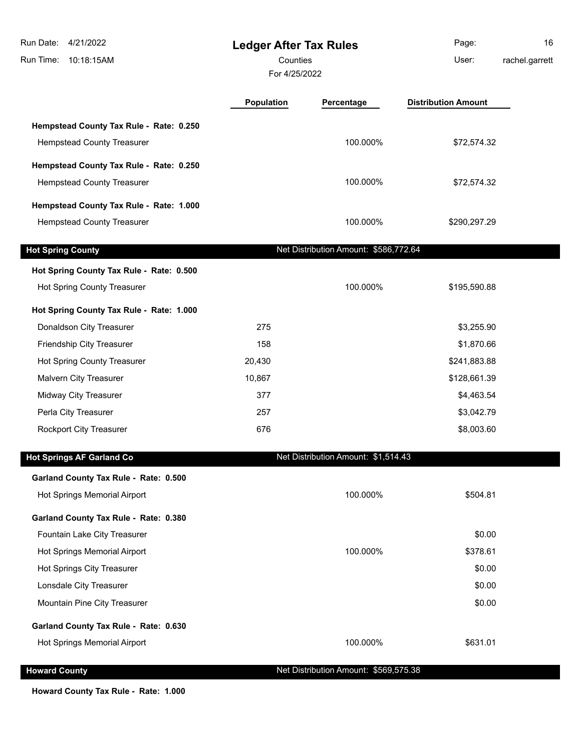| Run Date: 4/21/2022<br>Run Time: 10:18:15AM |            | <b>Ledger After Tax Rules</b><br>Counties<br>For 4/25/2022 |                            | 16<br>rachel.garrett |
|---------------------------------------------|------------|------------------------------------------------------------|----------------------------|----------------------|
|                                             | Population | Percentage                                                 | <b>Distribution Amount</b> |                      |
| Hempstead County Tax Rule - Rate: 0.250     |            |                                                            |                            |                      |
| <b>Hempstead County Treasurer</b>           |            | 100.000%                                                   | \$72,574.32                |                      |
| Hempstead County Tax Rule - Rate: 0.250     |            |                                                            |                            |                      |
| Hempstead County Treasurer                  |            | 100.000%                                                   | \$72,574.32                |                      |
| Hempstead County Tax Rule - Rate: 1.000     |            |                                                            |                            |                      |
| <b>Hempstead County Treasurer</b>           |            | 100.000%                                                   | \$290,297.29               |                      |
|                                             |            |                                                            |                            |                      |
| <b>Hot Spring County</b>                    |            | Net Distribution Amount: \$586,772.64                      |                            |                      |
| Hot Spring County Tax Rule - Rate: 0.500    |            |                                                            |                            |                      |
| Hot Spring County Treasurer                 |            | 100.000%                                                   | \$195,590.88               |                      |
| Hot Spring County Tax Rule - Rate: 1.000    |            |                                                            |                            |                      |
| Donaldson City Treasurer                    | 275        |                                                            | \$3,255.90                 |                      |
| Friendship City Treasurer                   | 158        |                                                            | \$1,870.66                 |                      |
| Hot Spring County Treasurer                 | 20,430     |                                                            | \$241,883.88               |                      |
| Malvern City Treasurer                      | 10,867     |                                                            | \$128,661.39               |                      |
| Midway City Treasurer                       | 377        |                                                            | \$4,463.54                 |                      |
| Perla City Treasurer                        | 257        |                                                            | \$3,042.79                 |                      |
| Rockport City Treasurer                     | 676        |                                                            | \$8,003.60                 |                      |
| <b>Hot Springs AF Garland Co</b>            |            | Net Distribution Amount: \$1,514.43                        |                            |                      |
| Garland County Tax Rule - Rate: 0.500       |            |                                                            |                            |                      |
| Hot Springs Memorial Airport                |            | 100.000%                                                   | \$504.81                   |                      |
| Garland County Tax Rule - Rate: 0.380       |            |                                                            |                            |                      |
| Fountain Lake City Treasurer                |            |                                                            | \$0.00                     |                      |
| Hot Springs Memorial Airport                |            | 100.000%                                                   | \$378.61                   |                      |
| Hot Springs City Treasurer                  |            |                                                            | \$0.00                     |                      |
| Lonsdale City Treasurer                     |            |                                                            | \$0.00                     |                      |
| Mountain Pine City Treasurer                |            |                                                            | \$0.00                     |                      |
| Garland County Tax Rule - Rate: 0.630       |            |                                                            |                            |                      |
| Hot Springs Memorial Airport                |            | 100.000%                                                   | \$631.01                   |                      |
| <b>Howard County</b>                        |            | Net Distribution Amount: \$569,575.38                      |                            |                      |

**Howard County Tax Rule - Rate: 1.000**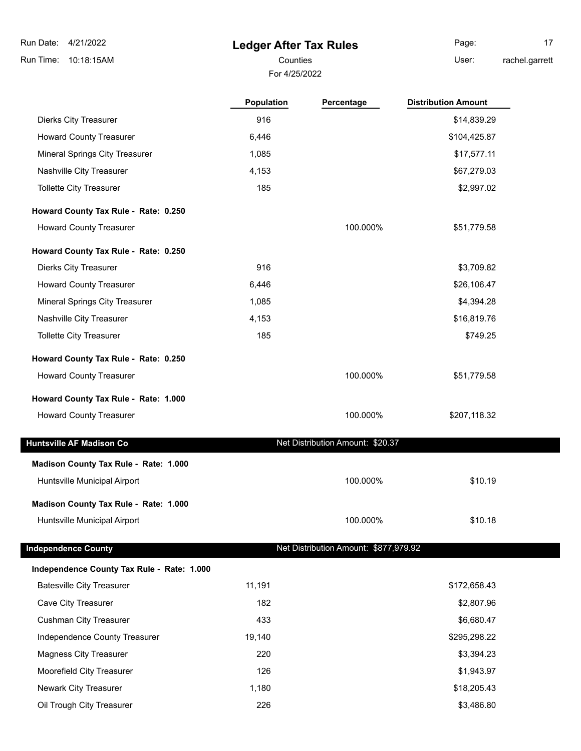# **Ledger After Tax Rules**

For 4/25/2022

Counties **User:** Page: 17 rachel.garrett

|                                            | <b>Population</b> | Percentage                            | <b>Distribution Amount</b> |
|--------------------------------------------|-------------------|---------------------------------------|----------------------------|
| <b>Dierks City Treasurer</b>               | 916               |                                       | \$14,839.29                |
| <b>Howard County Treasurer</b>             | 6,446             |                                       | \$104,425.87               |
| Mineral Springs City Treasurer             | 1,085             |                                       | \$17,577.11                |
| Nashville City Treasurer                   | 4,153             |                                       | \$67,279.03                |
| <b>Tollette City Treasurer</b>             | 185               |                                       | \$2,997.02                 |
| Howard County Tax Rule - Rate: 0.250       |                   |                                       |                            |
| <b>Howard County Treasurer</b>             |                   | 100.000%                              | \$51,779.58                |
| Howard County Tax Rule - Rate: 0.250       |                   |                                       |                            |
| <b>Dierks City Treasurer</b>               | 916               |                                       | \$3,709.82                 |
| <b>Howard County Treasurer</b>             | 6,446             |                                       | \$26,106.47                |
| Mineral Springs City Treasurer             | 1,085             |                                       | \$4,394.28                 |
| Nashville City Treasurer                   | 4,153             |                                       | \$16,819.76                |
| <b>Tollette City Treasurer</b>             | 185               |                                       | \$749.25                   |
| Howard County Tax Rule - Rate: 0.250       |                   |                                       |                            |
| <b>Howard County Treasurer</b>             |                   | 100.000%                              | \$51,779.58                |
| Howard County Tax Rule - Rate: 1.000       |                   |                                       |                            |
| <b>Howard County Treasurer</b>             |                   | 100.000%                              | \$207,118.32               |
| <b>Huntsville AF Madison Co</b>            |                   | Net Distribution Amount: \$20.37      |                            |
| Madison County Tax Rule - Rate: 1.000      |                   |                                       |                            |
| Huntsville Municipal Airport               |                   | 100.000%                              | \$10.19                    |
| Madison County Tax Rule - Rate: 1.000      |                   |                                       |                            |
| Huntsville Municipal Airport               |                   | 100.000%                              | \$10.18                    |
| <b>Independence County</b>                 |                   | Net Distribution Amount: \$877,979.92 |                            |
| Independence County Tax Rule - Rate: 1.000 |                   |                                       |                            |
| <b>Batesville City Treasurer</b>           | 11,191            |                                       | \$172,658.43               |
| Cave City Treasurer                        | 182               |                                       | \$2,807.96                 |
| <b>Cushman City Treasurer</b>              | 433               |                                       | \$6,680.47                 |
| Independence County Treasurer              | 19,140            |                                       | \$295,298.22               |
| <b>Magness City Treasurer</b>              | 220               |                                       | \$3,394.23                 |
| Moorefield City Treasurer                  | 126               |                                       | \$1,943.97                 |
|                                            |                   |                                       |                            |
| Newark City Treasurer                      | 1,180             |                                       | \$18,205.43                |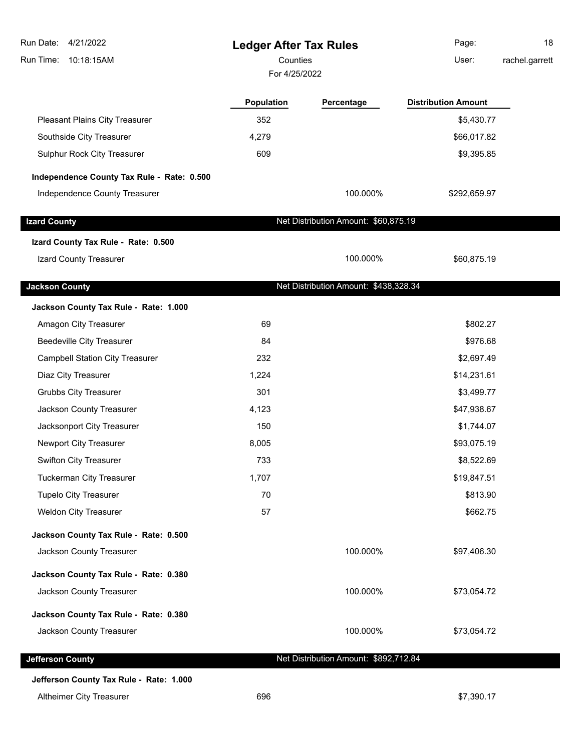| Run Date: 4/21/2022<br>10:18:15AM<br>Run Time: | <b>Ledger After Tax Rules</b><br>Counties<br>For 4/25/2022 |                                       | Page:<br>User:             | 18<br>rachel.garrett |
|------------------------------------------------|------------------------------------------------------------|---------------------------------------|----------------------------|----------------------|
|                                                | Population                                                 | Percentage                            | <b>Distribution Amount</b> |                      |
| Pleasant Plains City Treasurer                 | 352                                                        |                                       | \$5,430.77                 |                      |
| Southside City Treasurer                       | 4,279                                                      |                                       | \$66,017.82                |                      |
| Sulphur Rock City Treasurer                    | 609                                                        |                                       | \$9,395.85                 |                      |
| Independence County Tax Rule - Rate: 0.500     |                                                            |                                       |                            |                      |
| Independence County Treasurer                  |                                                            | 100.000%                              | \$292,659.97               |                      |
| <b>Izard County</b>                            |                                                            | Net Distribution Amount: \$60,875.19  |                            |                      |
| Izard County Tax Rule - Rate: 0.500            |                                                            |                                       |                            |                      |
| Izard County Treasurer                         |                                                            | 100.000%                              | \$60,875.19                |                      |
| <b>Jackson County</b>                          |                                                            | Net Distribution Amount: \$438,328.34 |                            |                      |
| Jackson County Tax Rule - Rate: 1.000          |                                                            |                                       |                            |                      |
| Amagon City Treasurer                          | 69                                                         |                                       | \$802.27                   |                      |
| <b>Beedeville City Treasurer</b>               | 84                                                         |                                       | \$976.68                   |                      |
| <b>Campbell Station City Treasurer</b>         | 232                                                        |                                       | \$2,697.49                 |                      |
| Diaz City Treasurer                            | 1,224                                                      |                                       | \$14,231.61                |                      |
| <b>Grubbs City Treasurer</b>                   | 301                                                        |                                       | \$3,499.77                 |                      |
| Jackson County Treasurer                       | 4,123                                                      |                                       | \$47,938.67                |                      |
| Jacksonport City Treasurer                     | 150                                                        |                                       | \$1,744.07                 |                      |
| Newport City Treasurer                         | 8,005                                                      |                                       | \$93,075.19                |                      |
| Swifton City Treasurer                         | 733                                                        |                                       | \$8,522.69                 |                      |
| <b>Tuckerman City Treasurer</b>                | 1,707                                                      |                                       | \$19,847.51                |                      |
| <b>Tupelo City Treasurer</b>                   | 70                                                         |                                       | \$813.90                   |                      |
| Weldon City Treasurer                          | 57                                                         |                                       | \$662.75                   |                      |
| Jackson County Tax Rule - Rate: 0.500          |                                                            |                                       |                            |                      |
| Jackson County Treasurer                       |                                                            | 100.000%                              | \$97,406.30                |                      |
| Jackson County Tax Rule - Rate: 0.380          |                                                            |                                       |                            |                      |
| Jackson County Treasurer                       |                                                            | 100.000%                              | \$73,054.72                |                      |
| Jackson County Tax Rule - Rate: 0.380          |                                                            |                                       |                            |                      |
| Jackson County Treasurer                       |                                                            | 100.000%                              | \$73,054.72                |                      |
| <b>Jefferson County</b>                        |                                                            | Net Distribution Amount: \$892,712.84 |                            |                      |
| Jefferson County Tax Rule - Rate: 1.000        |                                                            |                                       |                            |                      |

Altheimer City Treasurer **696** \$7,390.17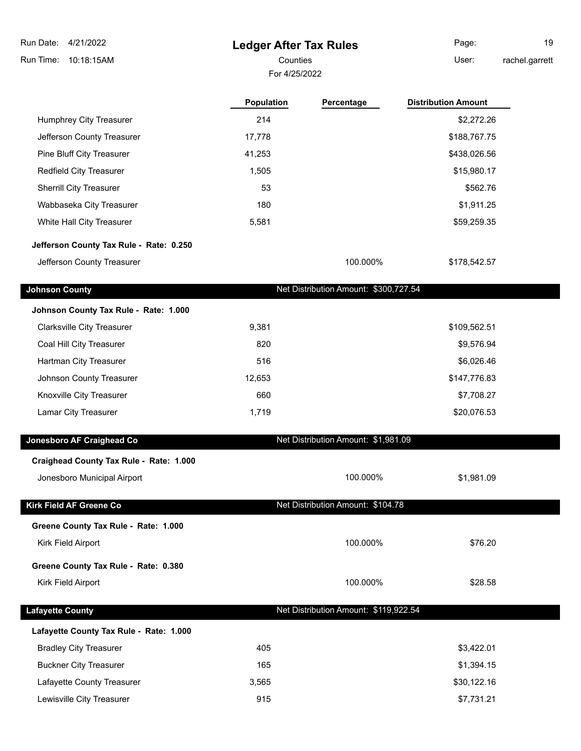| 4/21/2022<br>Run Date:                  | <b>Ledger After Tax Rules</b> |                                       | Page:                      | 19 |
|-----------------------------------------|-------------------------------|---------------------------------------|----------------------------|----|
| Run Time:<br>10:18:15AM                 | Counties                      | User:                                 | rachel.garrett             |    |
|                                         | For 4/25/2022                 |                                       |                            |    |
|                                         | Population                    | Percentage                            | <b>Distribution Amount</b> |    |
| Humphrey City Treasurer                 | 214                           |                                       | \$2,272.26                 |    |
| Jefferson County Treasurer              | 17,778                        |                                       | \$188,767.75               |    |
| Pine Bluff City Treasurer               | 41,253                        |                                       | \$438,026.56               |    |
| Redfield City Treasurer                 | 1,505                         |                                       | \$15,980.17                |    |
| Sherrill City Treasurer                 | 53                            |                                       | \$562.76                   |    |
| Wabbaseka City Treasurer                | 180                           |                                       | \$1,911.25                 |    |
| White Hall City Treasurer               | 5,581                         |                                       | \$59,259.35                |    |
| Jefferson County Tax Rule - Rate: 0.250 |                               |                                       |                            |    |
| Jefferson County Treasurer              |                               | 100.000%                              | \$178,542.57               |    |
| <b>Johnson County</b>                   |                               | Net Distribution Amount: \$300,727.54 |                            |    |
| Johnson County Tax Rule - Rate: 1.000   |                               |                                       |                            |    |
| <b>Clarksville City Treasurer</b>       | 9,381                         |                                       | \$109,562.51               |    |
| Coal Hill City Treasurer                | 820                           |                                       | \$9,576.94                 |    |
| Hartman City Treasurer                  | 516                           |                                       | \$6,026.46                 |    |
| Johnson County Treasurer                | 12,653                        |                                       | \$147,776.83               |    |
| Knoxville City Treasurer                | 660                           |                                       | \$7,708.27                 |    |
| Lamar City Treasurer                    | 1,719                         |                                       | \$20,076.53                |    |
| Jonesboro AF Craighead Co               |                               | Net Distribution Amount: \$1,981.09   |                            |    |
| Craighead County Tax Rule - Rate: 1.000 |                               |                                       |                            |    |
| Jonesboro Municipal Airport             |                               | 100.000%                              | \$1,981.09                 |    |
| Kirk Field AF Greene Co                 |                               | Net Distribution Amount: \$104.78     |                            |    |
| Greene County Tax Rule - Rate: 1.000    |                               |                                       |                            |    |
| Kirk Field Airport                      |                               | 100.000%                              | \$76.20                    |    |
| Greene County Tax Rule - Rate: 0.380    |                               |                                       |                            |    |
| Kirk Field Airport                      |                               | 100.000%                              | \$28.58                    |    |
| <b>Lafayette County</b>                 |                               | Net Distribution Amount: \$119,922.54 |                            |    |
| Lafayette County Tax Rule - Rate: 1.000 |                               |                                       |                            |    |
| <b>Bradley City Treasurer</b>           | 405                           |                                       | \$3,422.01                 |    |
| <b>Buckner City Treasurer</b>           | 165                           |                                       | \$1,394.15                 |    |
| Lafayette County Treasurer              | 3,565                         |                                       | \$30,122.16                |    |
| Lewisville City Treasurer               | 915                           |                                       | \$7,731.21                 |    |
|                                         |                               |                                       |                            |    |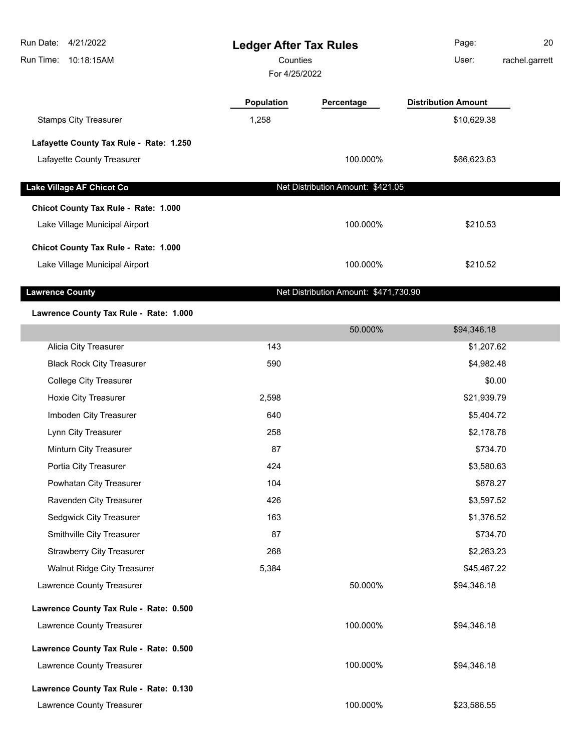| Run Date:<br>Run Time: | 4/21/2022<br>10:18:15AM                                                | <b>Ledger After Tax Rules</b><br>Counties<br>For 4/25/2022 |                                   | Page:<br>User:                            | 20<br>rachel.garrett |
|------------------------|------------------------------------------------------------------------|------------------------------------------------------------|-----------------------------------|-------------------------------------------|----------------------|
|                        | <b>Stamps City Treasurer</b>                                           | <b>Population</b><br>1,258                                 | Percentage                        | <b>Distribution Amount</b><br>\$10,629.38 |                      |
|                        | Lafayette County Tax Rule - Rate: 1.250<br>Lafayette County Treasurer  |                                                            | 100.000%                          | \$66,623.63                               |                      |
|                        | Lake Village AF Chicot Co<br>Chicot County Tax Rule - Rate: 1.000      |                                                            | Net Distribution Amount: \$421.05 |                                           |                      |
|                        | Lake Village Municipal Airport                                         |                                                            | 100.000%                          | \$210.53                                  |                      |
|                        | Chicot County Tax Rule - Rate: 1.000<br>Lake Village Municipal Airport |                                                            | 100.000%                          | \$210.52                                  |                      |

**Lawrence County Lawrence County Net Distribution Amount: \$471,730.90** 

#### **Lawrence County Tax Rule - Rate: 1.000**

|                                        |       | 50.000%  | \$94,346.18 |  |
|----------------------------------------|-------|----------|-------------|--|
| Alicia City Treasurer                  | 143   |          | \$1,207.62  |  |
| <b>Black Rock City Treasurer</b>       | 590   |          | \$4,982.48  |  |
| <b>College City Treasurer</b>          |       |          | \$0.00      |  |
| Hoxie City Treasurer                   | 2,598 |          | \$21,939.79 |  |
| Imboden City Treasurer                 | 640   |          | \$5,404.72  |  |
| Lynn City Treasurer                    | 258   |          | \$2,178.78  |  |
| Minturn City Treasurer                 | 87    |          | \$734.70    |  |
| Portia City Treasurer                  | 424   |          | \$3,580.63  |  |
| Powhatan City Treasurer                | 104   |          | \$878.27    |  |
| Ravenden City Treasurer                | 426   |          | \$3,597.52  |  |
| Sedgwick City Treasurer                | 163   |          | \$1,376.52  |  |
| Smithville City Treasurer              | 87    |          | \$734.70    |  |
| <b>Strawberry City Treasurer</b>       | 268   |          | \$2,263.23  |  |
| <b>Walnut Ridge City Treasurer</b>     | 5,384 |          | \$45,467.22 |  |
| Lawrence County Treasurer              |       | 50.000%  | \$94,346.18 |  |
| Lawrence County Tax Rule - Rate: 0.500 |       |          |             |  |
| Lawrence County Treasurer              |       | 100.000% | \$94,346.18 |  |
| Lawrence County Tax Rule - Rate: 0.500 |       |          |             |  |
| Lawrence County Treasurer              |       | 100.000% | \$94,346.18 |  |
| Lawrence County Tax Rule - Rate: 0.130 |       |          |             |  |
| Lawrence County Treasurer              |       | 100.000% | \$23,586.55 |  |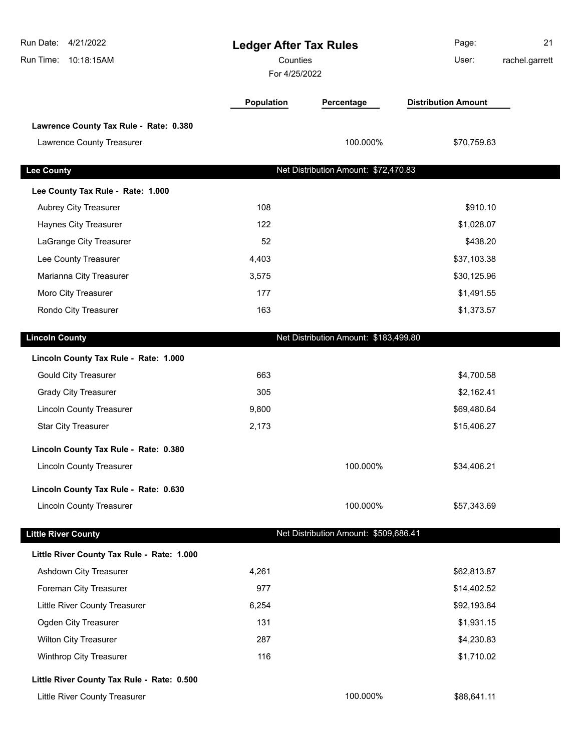| Run Date: 4/21/2022<br>Run Time: 10:18:15AM | <b>Ledger After Tax Rules</b><br>Counties<br>For 4/25/2022 |                                       | Page:<br>User:             | 21<br>rachel.garrett |
|---------------------------------------------|------------------------------------------------------------|---------------------------------------|----------------------------|----------------------|
|                                             | Population                                                 | Percentage                            | <b>Distribution Amount</b> |                      |
| Lawrence County Tax Rule - Rate: 0.380      |                                                            |                                       |                            |                      |
| Lawrence County Treasurer                   |                                                            | 100.000%                              | \$70,759.63                |                      |
| <b>Lee County</b>                           |                                                            | Net Distribution Amount: \$72,470.83  |                            |                      |
| Lee County Tax Rule - Rate: 1.000           |                                                            |                                       |                            |                      |
| Aubrey City Treasurer                       | 108                                                        |                                       | \$910.10                   |                      |
| Haynes City Treasurer                       | 122                                                        |                                       | \$1,028.07                 |                      |
| LaGrange City Treasurer                     | 52                                                         |                                       | \$438.20                   |                      |
| Lee County Treasurer                        | 4,403                                                      |                                       | \$37,103.38                |                      |
| Marianna City Treasurer                     | 3,575                                                      |                                       | \$30,125.96                |                      |
| Moro City Treasurer                         | 177                                                        |                                       | \$1,491.55                 |                      |
| Rondo City Treasurer                        | 163                                                        |                                       | \$1,373.57                 |                      |
| <b>Lincoln County</b>                       |                                                            | Net Distribution Amount: \$183,499.80 |                            |                      |
| Lincoln County Tax Rule - Rate: 1.000       |                                                            |                                       |                            |                      |
| <b>Gould City Treasurer</b>                 | 663                                                        |                                       | \$4,700.58                 |                      |
| <b>Grady City Treasurer</b>                 | 305                                                        |                                       | \$2,162.41                 |                      |
| <b>Lincoln County Treasurer</b>             | 9,800                                                      |                                       | \$69,480.64                |                      |
| <b>Star City Treasurer</b>                  | 2,173                                                      |                                       | \$15,406.27                |                      |
| Lincoln County Tax Rule - Rate: 0.380       |                                                            |                                       |                            |                      |
| <b>Lincoln County Treasurer</b>             |                                                            | 100.000%                              | \$34,406.21                |                      |
| Lincoln County Tax Rule - Rate: 0.630       |                                                            |                                       |                            |                      |
| <b>Lincoln County Treasurer</b>             |                                                            | 100.000%                              | \$57,343.69                |                      |
| <b>Little River County</b>                  |                                                            | Net Distribution Amount: \$509,686.41 |                            |                      |
| Little River County Tax Rule - Rate: 1.000  |                                                            |                                       |                            |                      |
| Ashdown City Treasurer                      | 4,261                                                      |                                       | \$62,813.87                |                      |
| Foreman City Treasurer                      | 977                                                        |                                       | \$14,402.52                |                      |
| Little River County Treasurer               | 6,254                                                      |                                       | \$92,193.84                |                      |
| Ogden City Treasurer                        | 131                                                        |                                       | \$1,931.15                 |                      |
| <b>Wilton City Treasurer</b>                | 287                                                        |                                       | \$4,230.83                 |                      |
| Winthrop City Treasurer                     | 116                                                        |                                       | \$1,710.02                 |                      |
| Little River County Tax Rule - Rate: 0.500  |                                                            |                                       |                            |                      |
| Little River County Treasurer               |                                                            | 100.000%                              | \$88,641.11                |                      |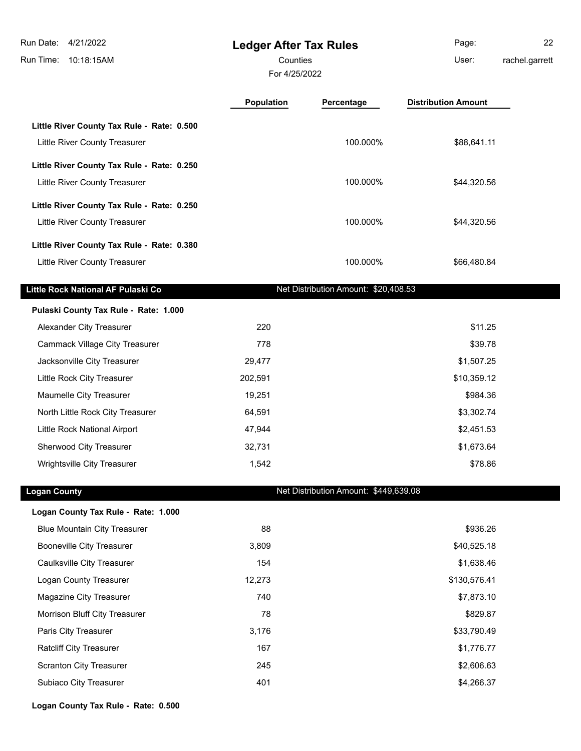**Ledger After Tax Rules** Run Time: 10:18:15AM Run Date: 4/21/2022 For 4/25/2022 Counties **Counties** User: Page: 22 rachel.garrett **Population Percentage Distribution Amount Little River County Tax Rule - Rate: 0.500** Little River County Treasurer 100.000% \$88,641.11 **Little River County Tax Rule - Rate: 0.250** Little River County Treasurer **100.000%** \$44,320.56 **Little River County Tax Rule - Rate: 0.250** Little River County Treasurer 100.000% \$44,320.56 **Little River County Tax Rule - Rate: 0.380** Little River County Treasurer 100.000% \$66,480.84 **Little Rock National AF Pulaski Co** Net Distribution Amount: \$20,408.53 **Pulaski County Tax Rule - Rate: 1.000** Alexander City Treasurer 1988 and 220 \$11.25 Cammack Village City Treasurer **1988 1998 39.78 \$39.78** Jacksonville City Treasurer 1980 1990 100 29,477 1990 100 29,477 \$1,507.25 Little Rock City Treasurer 1988 and 202,591 **202,591 and 202,591 310,359.12** Maumelle City Treasurer 19,251 **19,251 19,251 19,251 19,251** North Little Rock City Treasurer 64,591 \$3,302.74 Little Rock National Airport 47,944 \$2,451.53 Sherwood City Treasurer 1988 1999 10 32,731 32,731 \$1,673.64 Wrightsville City Treasurer 1,542 \$78.86 **Logan County Net Distribution Amount: \$449,639.08 Logan County Tax Rule - Rate: 1.000** Blue Mountain City Treasurer 1988 1998.26 and 1998.26 and 1998.26 and 1998.26 and 1998.26 and 1998.26

| Booneville City Treasurer      | 3.809  | \$40,525.18  |
|--------------------------------|--------|--------------|
| Caulksville City Treasurer     | 154    | \$1,638.46   |
| Logan County Treasurer         | 12.273 | \$130,576.41 |
| Magazine City Treasurer        | 740    | \$7,873.10   |
| Morrison Bluff City Treasurer  | 78     | \$829.87     |
| Paris City Treasurer           | 3.176  | \$33,790.49  |
| <b>Ratcliff City Treasurer</b> | 167    | \$1,776.77   |
| <b>Scranton City Treasurer</b> | 245    | \$2,606.63   |
| <b>Subiaco City Treasurer</b>  | 401    | \$4,266.37   |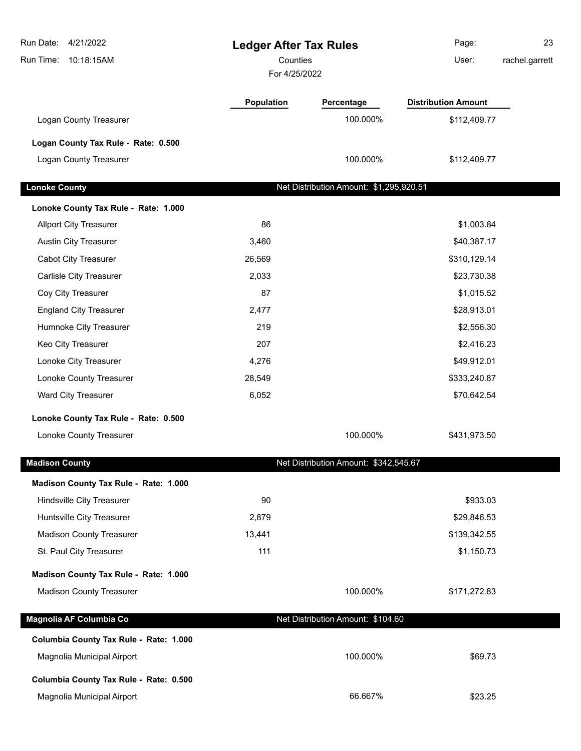| Run Date: 4/21/2022<br>Run Time:<br>10:18:15AM | <b>Ledger After Tax Rules</b><br>Counties<br>For 4/25/2022 |                                         | Page:<br>User:             | 23<br>rachel.garrett |
|------------------------------------------------|------------------------------------------------------------|-----------------------------------------|----------------------------|----------------------|
|                                                | <b>Population</b>                                          | Percentage                              | <b>Distribution Amount</b> |                      |
| Logan County Treasurer                         |                                                            | 100.000%                                | \$112,409.77               |                      |
| Logan County Tax Rule - Rate: 0.500            |                                                            |                                         |                            |                      |
| Logan County Treasurer                         |                                                            | 100.000%                                | \$112,409.77               |                      |
| <b>Lonoke County</b>                           |                                                            | Net Distribution Amount: \$1,295,920.51 |                            |                      |
| Lonoke County Tax Rule - Rate: 1.000           |                                                            |                                         |                            |                      |
| <b>Allport City Treasurer</b>                  | 86                                                         |                                         | \$1,003.84                 |                      |
| <b>Austin City Treasurer</b>                   | 3,460                                                      |                                         | \$40,387.17                |                      |
| <b>Cabot City Treasurer</b>                    | 26,569                                                     |                                         | \$310,129.14               |                      |
| Carlisle City Treasurer                        | 2,033                                                      |                                         | \$23,730.38                |                      |
| Coy City Treasurer                             | 87                                                         |                                         | \$1,015.52                 |                      |
| <b>England City Treasurer</b>                  | 2,477                                                      |                                         | \$28,913.01                |                      |
| Humnoke City Treasurer                         | 219                                                        |                                         | \$2,556.30                 |                      |
| Keo City Treasurer                             | 207                                                        |                                         | \$2,416.23                 |                      |
| Lonoke City Treasurer                          | 4,276                                                      |                                         | \$49,912.01                |                      |
| Lonoke County Treasurer                        | 28,549                                                     |                                         | \$333,240.87               |                      |
| Ward City Treasurer                            | 6,052                                                      |                                         | \$70,642.54                |                      |
| Lonoke County Tax Rule - Rate: 0.500           |                                                            |                                         |                            |                      |
| Lonoke County Treasurer                        |                                                            | 100.000%                                | \$431,973.50               |                      |
| <b>Madison County</b>                          |                                                            | Net Distribution Amount: \$342,545.67   |                            |                      |
| Madison County Tax Rule - Rate: 1.000          |                                                            |                                         |                            |                      |
| Hindsville City Treasurer                      | 90                                                         |                                         | \$933.03                   |                      |
| Huntsville City Treasurer                      | 2,879                                                      |                                         | \$29,846.53                |                      |
| <b>Madison County Treasurer</b>                | 13,441                                                     |                                         | \$139,342.55               |                      |
| St. Paul City Treasurer                        | 111                                                        |                                         | \$1,150.73                 |                      |
| Madison County Tax Rule - Rate: 1.000          |                                                            |                                         |                            |                      |
| <b>Madison County Treasurer</b>                |                                                            | 100.000%                                | \$171,272.83               |                      |
| Magnolia AF Columbia Co                        |                                                            | Net Distribution Amount: \$104.60       |                            |                      |
| Columbia County Tax Rule - Rate: 1.000         |                                                            |                                         |                            |                      |
| Magnolia Municipal Airport                     |                                                            | 100.000%                                | \$69.73                    |                      |
| Columbia County Tax Rule - Rate: 0.500         |                                                            |                                         |                            |                      |
| Magnolia Municipal Airport                     |                                                            | 66.667%                                 | \$23.25                    |                      |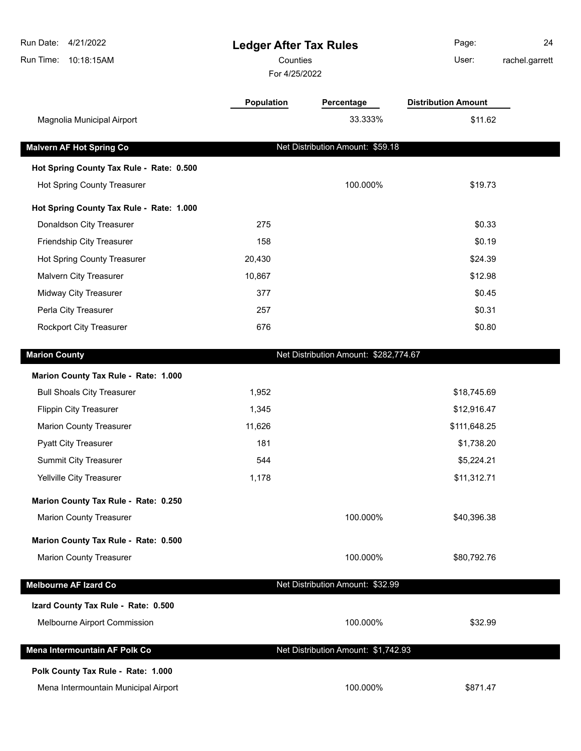| Run Date: 4/21/2022<br>Run Time: 10:18:15AM | <b>Ledger After Tax Rules</b><br>Counties |                                       | Page:<br>User:             | 24<br>rachel.garrett |
|---------------------------------------------|-------------------------------------------|---------------------------------------|----------------------------|----------------------|
|                                             | For 4/25/2022                             |                                       |                            |                      |
|                                             | <b>Population</b>                         | Percentage                            | <b>Distribution Amount</b> |                      |
| Magnolia Municipal Airport                  |                                           | 33.333%                               | \$11.62                    |                      |
| <b>Malvern AF Hot Spring Co</b>             |                                           | Net Distribution Amount: \$59.18      |                            |                      |
| Hot Spring County Tax Rule - Rate: 0.500    |                                           |                                       |                            |                      |
| Hot Spring County Treasurer                 |                                           | 100.000%                              | \$19.73                    |                      |
| Hot Spring County Tax Rule - Rate: 1.000    |                                           |                                       |                            |                      |
| Donaldson City Treasurer                    | 275                                       |                                       | \$0.33                     |                      |
| Friendship City Treasurer                   | 158                                       |                                       | \$0.19                     |                      |
| Hot Spring County Treasurer                 | 20,430                                    |                                       | \$24.39                    |                      |
| Malvern City Treasurer                      | 10,867                                    |                                       | \$12.98                    |                      |
| Midway City Treasurer                       | 377                                       |                                       | \$0.45                     |                      |
| Perla City Treasurer                        | 257                                       |                                       | \$0.31                     |                      |
| Rockport City Treasurer                     | 676                                       |                                       | \$0.80                     |                      |
| <b>Marion County</b>                        |                                           | Net Distribution Amount: \$282,774.67 |                            |                      |
| Marion County Tax Rule - Rate: 1.000        |                                           |                                       |                            |                      |
| <b>Bull Shoals City Treasurer</b>           | 1,952                                     |                                       | \$18,745.69                |                      |
| <b>Flippin City Treasurer</b>               | 1,345                                     |                                       | \$12,916.47                |                      |
| <b>Marion County Treasurer</b>              | 11,626                                    |                                       | \$111,648.25               |                      |
| <b>Pyatt City Treasurer</b>                 | 181                                       |                                       | \$1,738.20                 |                      |
| <b>Summit City Treasurer</b>                | 544                                       |                                       | \$5,224.21                 |                      |
| Yellville City Treasurer                    | 1,178                                     |                                       | \$11,312.71                |                      |
| Marion County Tax Rule - Rate: 0.250        |                                           |                                       |                            |                      |
| <b>Marion County Treasurer</b>              |                                           | 100.000%                              | \$40,396.38                |                      |
| Marion County Tax Rule - Rate: 0.500        |                                           |                                       |                            |                      |
| <b>Marion County Treasurer</b>              |                                           | 100.000%                              | \$80,792.76                |                      |
| <b>Melbourne AF Izard Co</b>                |                                           | Net Distribution Amount: \$32.99      |                            |                      |
| Izard County Tax Rule - Rate: 0.500         |                                           |                                       |                            |                      |
| Melbourne Airport Commission                |                                           | 100.000%                              | \$32.99                    |                      |
| Mena Intermountain AF Polk Co               |                                           | Net Distribution Amount: \$1,742.93   |                            |                      |
| Polk County Tax Rule - Rate: 1.000          |                                           |                                       |                            |                      |
| Mena Intermountain Municipal Airport        |                                           | 100.000%                              | \$871.47                   |                      |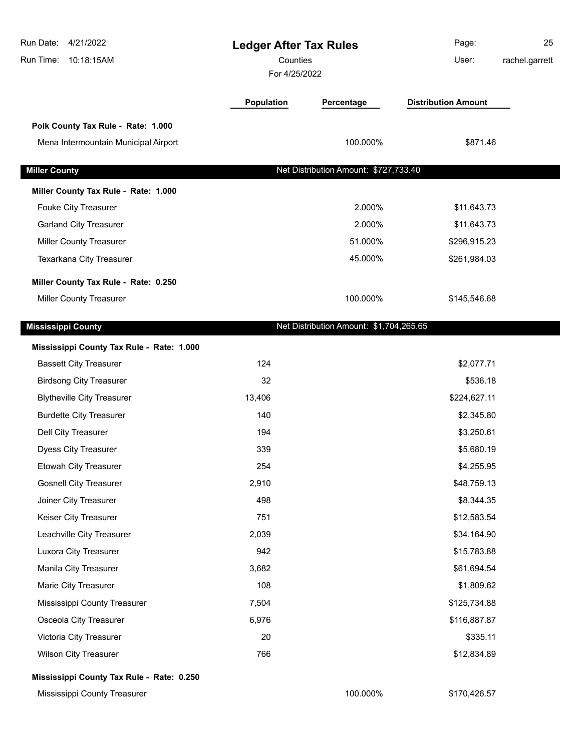| Run Date:<br>4/21/2022<br>Run Time:<br>10:18:15AM | <b>Ledger After Tax Rules</b><br>Counties<br>For 4/25/2022 |                                         | Page:<br>User:             | 25<br>rachel.garrett |
|---------------------------------------------------|------------------------------------------------------------|-----------------------------------------|----------------------------|----------------------|
|                                                   | <b>Population</b>                                          | Percentage                              | <b>Distribution Amount</b> |                      |
| Polk County Tax Rule - Rate: 1.000                |                                                            |                                         |                            |                      |
| Mena Intermountain Municipal Airport              |                                                            | 100.000%                                | \$871.46                   |                      |
| <b>Miller County</b>                              |                                                            | Net Distribution Amount: \$727,733.40   |                            |                      |
| Miller County Tax Rule - Rate: 1.000              |                                                            |                                         |                            |                      |
| Fouke City Treasurer                              |                                                            | 2.000%                                  | \$11,643.73                |                      |
| <b>Garland City Treasurer</b>                     |                                                            | 2.000%                                  | \$11,643.73                |                      |
| <b>Miller County Treasurer</b>                    |                                                            | 51.000%                                 | \$296,915.23               |                      |
| Texarkana City Treasurer                          |                                                            | 45.000%                                 | \$261,984.03               |                      |
| Miller County Tax Rule - Rate: 0.250              |                                                            |                                         |                            |                      |
| <b>Miller County Treasurer</b>                    |                                                            | 100.000%                                | \$145,546.68               |                      |
| <b>Mississippi County</b>                         |                                                            | Net Distribution Amount: \$1,704,265.65 |                            |                      |
| Mississippi County Tax Rule - Rate: 1.000         |                                                            |                                         |                            |                      |
| <b>Bassett City Treasurer</b>                     | 124                                                        |                                         | \$2,077.71                 |                      |
| <b>Birdsong City Treasurer</b>                    | 32                                                         |                                         | \$536.18                   |                      |
| <b>Blytheville City Treasurer</b>                 | 13,406                                                     |                                         | \$224,627.11               |                      |
| <b>Burdette City Treasurer</b>                    | 140                                                        |                                         | \$2,345.80                 |                      |
| Dell City Treasurer                               | 194                                                        |                                         | \$3,250.61                 |                      |
| Dyess City Treasurer                              | 339                                                        |                                         | \$5,680.19                 |                      |
| <b>Etowah City Treasurer</b>                      | 254                                                        |                                         | \$4,255.95                 |                      |
| <b>Gosnell City Treasurer</b>                     | 2,910                                                      |                                         | \$48,759.13                |                      |
| Joiner City Treasurer                             | 498                                                        |                                         | \$8,344.35                 |                      |
| Keiser City Treasurer                             | 751                                                        |                                         | \$12,583.54                |                      |
| Leachville City Treasurer                         | 2,039                                                      |                                         | \$34,164.90                |                      |
| Luxora City Treasurer                             | 942                                                        |                                         | \$15,783.88                |                      |
| Manila City Treasurer                             | 3,682                                                      |                                         | \$61,694.54                |                      |
| Marie City Treasurer                              | 108                                                        |                                         | \$1,809.62                 |                      |
| Mississippi County Treasurer                      | 7,504                                                      |                                         | \$125,734.88               |                      |
| Osceola City Treasurer                            | 6,976                                                      |                                         | \$116,887.87               |                      |
| Victoria City Treasurer                           | 20                                                         |                                         | \$335.11                   |                      |
| <b>Wilson City Treasurer</b>                      | 766                                                        |                                         | \$12,834.89                |                      |

Mississippi County Treasurer 100.000% \$170,426.57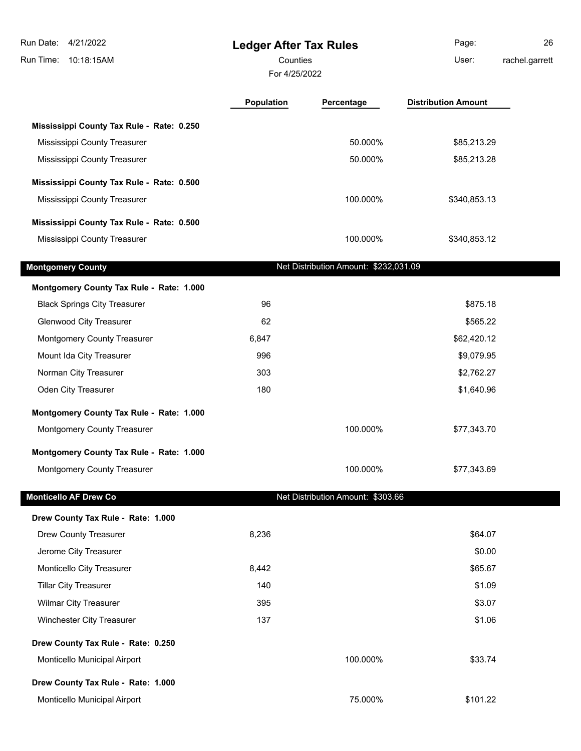| Run Date: 4/21/2022<br>Run Time:<br>10:18:15AM | <b>Ledger After Tax Rules</b><br>Counties<br>For 4/25/2022 |                                       | Page:<br>User:             | 26<br>rachel.garrett |
|------------------------------------------------|------------------------------------------------------------|---------------------------------------|----------------------------|----------------------|
|                                                | Population                                                 | Percentage                            | <b>Distribution Amount</b> |                      |
| Mississippi County Tax Rule - Rate: 0.250      |                                                            |                                       |                            |                      |
| Mississippi County Treasurer                   |                                                            | 50.000%                               | \$85,213.29                |                      |
| Mississippi County Treasurer                   |                                                            | 50.000%                               | \$85,213.28                |                      |
| Mississippi County Tax Rule - Rate: 0.500      |                                                            |                                       |                            |                      |
| Mississippi County Treasurer                   |                                                            | 100.000%                              | \$340,853.13               |                      |
| Mississippi County Tax Rule - Rate: 0.500      |                                                            |                                       |                            |                      |
| Mississippi County Treasurer                   |                                                            | 100.000%                              | \$340,853.12               |                      |
| <b>Montgomery County</b>                       |                                                            | Net Distribution Amount: \$232,031.09 |                            |                      |
| Montgomery County Tax Rule - Rate: 1.000       |                                                            |                                       |                            |                      |
| <b>Black Springs City Treasurer</b>            | 96                                                         |                                       | \$875.18                   |                      |
| <b>Glenwood City Treasurer</b>                 | 62                                                         |                                       | \$565.22                   |                      |
| Montgomery County Treasurer                    | 6,847                                                      |                                       | \$62,420.12                |                      |
| Mount Ida City Treasurer                       | 996                                                        |                                       | \$9,079.95                 |                      |
| Norman City Treasurer                          | 303                                                        |                                       | \$2,762.27                 |                      |
| Oden City Treasurer                            | 180                                                        |                                       | \$1,640.96                 |                      |
| Montgomery County Tax Rule - Rate: 1.000       |                                                            |                                       |                            |                      |
| Montgomery County Treasurer                    |                                                            | 100.000%                              | \$77,343.70                |                      |
| Montgomery County Tax Rule - Rate: 1.000       |                                                            |                                       |                            |                      |
| Montgomery County Treasurer                    |                                                            | 100.000%                              | \$77,343.69                |                      |
| <b>Monticello AF Drew Co</b>                   |                                                            | Net Distribution Amount: \$303.66     |                            |                      |
| Drew County Tax Rule - Rate: 1.000             |                                                            |                                       |                            |                      |
| Drew County Treasurer                          | 8,236                                                      |                                       | \$64.07                    |                      |
| Jerome City Treasurer                          |                                                            |                                       | \$0.00                     |                      |
| Monticello City Treasurer                      | 8,442                                                      |                                       | \$65.67                    |                      |
| <b>Tillar City Treasurer</b>                   | 140                                                        |                                       | \$1.09                     |                      |
| <b>Wilmar City Treasurer</b>                   | 395                                                        |                                       | \$3.07                     |                      |
| Winchester City Treasurer                      | 137                                                        |                                       | \$1.06                     |                      |
| Drew County Tax Rule - Rate: 0.250             |                                                            |                                       |                            |                      |
| Monticello Municipal Airport                   |                                                            | 100.000%                              | \$33.74                    |                      |
| Drew County Tax Rule - Rate: 1.000             |                                                            |                                       |                            |                      |
| Monticello Municipal Airport                   |                                                            | 75.000%                               | \$101.22                   |                      |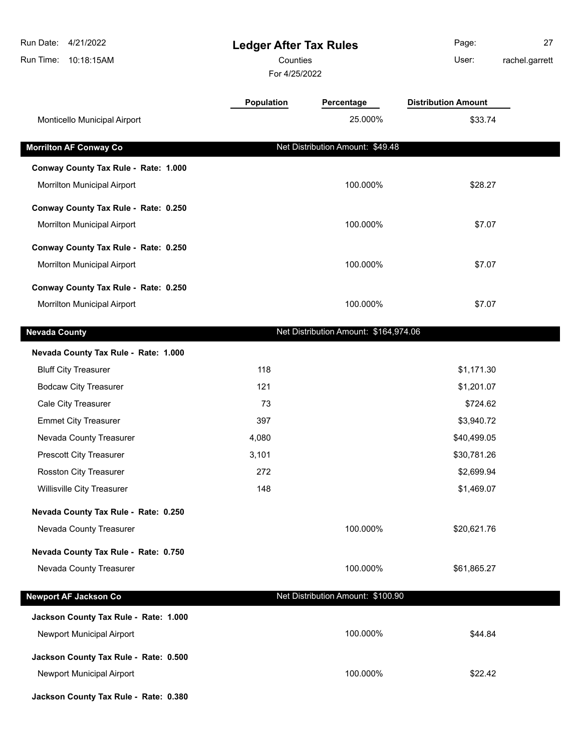| Run Date:<br>4/21/2022<br>Run Time:<br>10:18:15AM | <b>Ledger After Tax Rules</b><br>Counties<br>For 4/25/2022 |                                       | Page:<br>User:             | 27<br>rachel.garrett |
|---------------------------------------------------|------------------------------------------------------------|---------------------------------------|----------------------------|----------------------|
|                                                   | Population                                                 | Percentage                            | <b>Distribution Amount</b> |                      |
| Monticello Municipal Airport                      |                                                            | 25.000%                               | \$33.74                    |                      |
| <b>Morrilton AF Conway Co</b>                     |                                                            | Net Distribution Amount: \$49.48      |                            |                      |
| Conway County Tax Rule - Rate: 1.000              |                                                            |                                       |                            |                      |
| Morrilton Municipal Airport                       |                                                            | 100.000%                              | \$28.27                    |                      |
| Conway County Tax Rule - Rate: 0.250              |                                                            |                                       |                            |                      |
| Morrilton Municipal Airport                       |                                                            | 100.000%                              | \$7.07                     |                      |
|                                                   |                                                            |                                       |                            |                      |
| Conway County Tax Rule - Rate: 0.250              |                                                            |                                       |                            |                      |
| Morrilton Municipal Airport                       |                                                            | 100.000%                              | \$7.07                     |                      |
| Conway County Tax Rule - Rate: 0.250              |                                                            |                                       |                            |                      |
| Morrilton Municipal Airport                       |                                                            | 100.000%                              | \$7.07                     |                      |
| <b>Nevada County</b>                              |                                                            | Net Distribution Amount: \$164,974.06 |                            |                      |
| Nevada County Tax Rule - Rate: 1.000              |                                                            |                                       |                            |                      |
| <b>Bluff City Treasurer</b>                       | 118                                                        |                                       | \$1,171.30                 |                      |
| <b>Bodcaw City Treasurer</b>                      | 121                                                        |                                       | \$1,201.07                 |                      |
| Cale City Treasurer                               | 73                                                         |                                       | \$724.62                   |                      |
| <b>Emmet City Treasurer</b>                       | 397                                                        |                                       | \$3,940.72                 |                      |
| Nevada County Treasurer                           | 4,080                                                      |                                       | \$40,499.05                |                      |
| <b>Prescott City Treasurer</b>                    | 3,101                                                      |                                       | \$30,781.26                |                      |
| <b>Rosston City Treasurer</b>                     | 272                                                        |                                       | \$2,699.94                 |                      |
| Willisville City Treasurer                        | 148                                                        |                                       | \$1,469.07                 |                      |
| Nevada County Tax Rule - Rate: 0.250              |                                                            |                                       |                            |                      |
| Nevada County Treasurer                           |                                                            | 100.000%                              | \$20,621.76                |                      |
| Nevada County Tax Rule - Rate: 0.750              |                                                            |                                       |                            |                      |
| Nevada County Treasurer                           |                                                            | 100.000%                              | \$61,865.27                |                      |
|                                                   |                                                            |                                       |                            |                      |
| <b>Newport AF Jackson Co</b>                      |                                                            | Net Distribution Amount: \$100.90     |                            |                      |
| Jackson County Tax Rule - Rate: 1.000             |                                                            |                                       |                            |                      |
| Newport Municipal Airport                         |                                                            | 100.000%                              | \$44.84                    |                      |
| Jackson County Tax Rule - Rate: 0.500             |                                                            |                                       |                            |                      |
| Newport Municipal Airport                         |                                                            | 100.000%                              | \$22.42                    |                      |
| Jackson County Tax Rule - Rate: 0.380             |                                                            |                                       |                            |                      |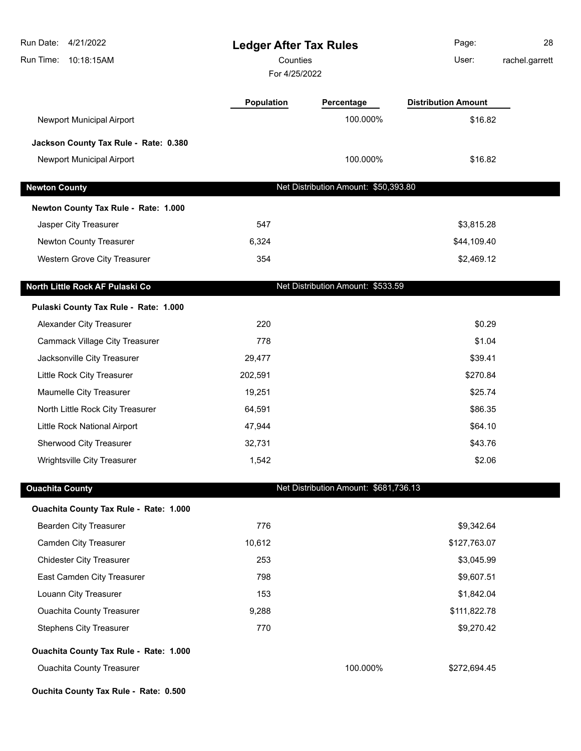| Run Date: 4/21/2022<br>Run Time: 10:18:15AM | <b>Ledger After Tax Rules</b><br>Counties<br>For 4/25/2022 |                                       | Page:<br>User:             | 28<br>rachel.garrett |
|---------------------------------------------|------------------------------------------------------------|---------------------------------------|----------------------------|----------------------|
|                                             | <b>Population</b>                                          | Percentage                            | <b>Distribution Amount</b> |                      |
| Newport Municipal Airport                   |                                                            | 100.000%                              | \$16.82                    |                      |
| Jackson County Tax Rule - Rate: 0.380       |                                                            |                                       |                            |                      |
| Newport Municipal Airport                   |                                                            | 100.000%                              | \$16.82                    |                      |
| <b>Newton County</b>                        |                                                            | Net Distribution Amount: \$50,393.80  |                            |                      |
| Newton County Tax Rule - Rate: 1.000        |                                                            |                                       |                            |                      |
| Jasper City Treasurer                       | 547                                                        |                                       | \$3,815.28                 |                      |
| Newton County Treasurer                     | 6,324                                                      |                                       | \$44,109.40                |                      |
| Western Grove City Treasurer                | 354                                                        |                                       | \$2,469.12                 |                      |
| North Little Rock AF Pulaski Co             |                                                            | Net Distribution Amount: \$533.59     |                            |                      |
| Pulaski County Tax Rule - Rate: 1.000       |                                                            |                                       |                            |                      |
| Alexander City Treasurer                    | 220                                                        |                                       | \$0.29                     |                      |
| <b>Cammack Village City Treasurer</b>       | 778                                                        |                                       | \$1.04                     |                      |
| Jacksonville City Treasurer                 | 29,477                                                     |                                       | \$39.41                    |                      |
| Little Rock City Treasurer                  | 202,591                                                    |                                       | \$270.84                   |                      |
| Maumelle City Treasurer                     | 19,251                                                     |                                       | \$25.74                    |                      |
| North Little Rock City Treasurer            | 64,591                                                     |                                       | \$86.35                    |                      |
| Little Rock National Airport                | 47,944                                                     |                                       | \$64.10                    |                      |
| Sherwood City Treasurer                     | 32,731                                                     |                                       | \$43.76                    |                      |
| Wrightsville City Treasurer                 | 1,542                                                      |                                       | \$2.06                     |                      |
| <b>Ouachita County</b>                      |                                                            | Net Distribution Amount: \$681,736.13 |                            |                      |
| Ouachita County Tax Rule - Rate: 1.000      |                                                            |                                       |                            |                      |
| <b>Bearden City Treasurer</b>               | 776                                                        |                                       | \$9,342.64                 |                      |
| <b>Camden City Treasurer</b>                | 10,612                                                     |                                       | \$127,763.07               |                      |
| <b>Chidester City Treasurer</b>             | 253                                                        |                                       | \$3,045.99                 |                      |
| East Camden City Treasurer                  | 798                                                        |                                       | \$9,607.51                 |                      |
| Louann City Treasurer                       | 153                                                        |                                       | \$1,842.04                 |                      |
| <b>Ouachita County Treasurer</b>            | 9,288                                                      |                                       | \$111,822.78               |                      |
| <b>Stephens City Treasurer</b>              | 770                                                        |                                       | \$9,270.42                 |                      |
| Ouachita County Tax Rule - Rate: 1.000      |                                                            |                                       |                            |                      |
| <b>Ouachita County Treasurer</b>            |                                                            | 100.000%                              | \$272,694.45               |                      |
| Ouchita County Tax Rule - Rate: 0.500       |                                                            |                                       |                            |                      |

I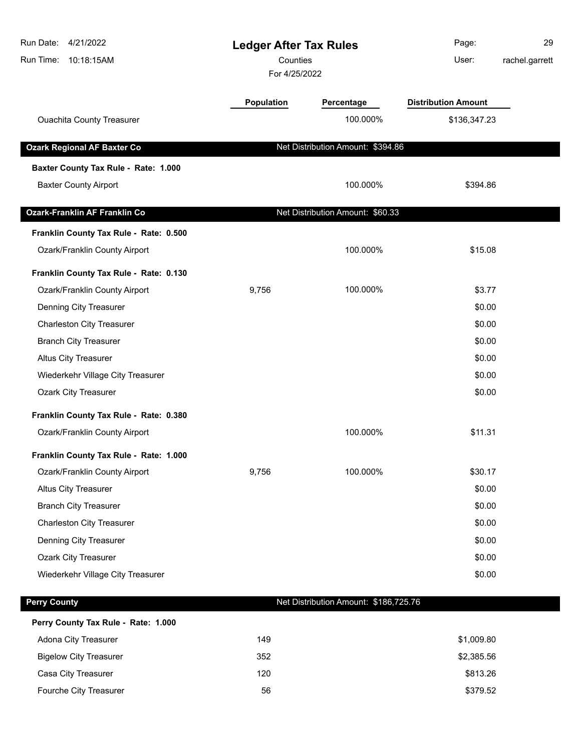| Run Date: 4/21/2022<br>Run Time: 10:18:15AM | <b>Ledger After Tax Rules</b><br>Counties<br>For 4/25/2022 |                                       | Page:<br>User:             | 29<br>rachel.garrett |
|---------------------------------------------|------------------------------------------------------------|---------------------------------------|----------------------------|----------------------|
|                                             | Population                                                 | Percentage                            | <b>Distribution Amount</b> |                      |
| <b>Ouachita County Treasurer</b>            |                                                            | 100.000%                              | \$136,347.23               |                      |
| <b>Ozark Regional AF Baxter Co</b>          |                                                            | Net Distribution Amount: \$394.86     |                            |                      |
| Baxter County Tax Rule - Rate: 1.000        |                                                            |                                       |                            |                      |
| <b>Baxter County Airport</b>                |                                                            | 100.000%                              | \$394.86                   |                      |
| <b>Ozark-Franklin AF Franklin Co</b>        |                                                            | Net Distribution Amount: \$60.33      |                            |                      |
| Franklin County Tax Rule - Rate: 0.500      |                                                            |                                       |                            |                      |
| Ozark/Franklin County Airport               |                                                            | 100.000%                              | \$15.08                    |                      |
| Franklin County Tax Rule - Rate: 0.130      |                                                            |                                       |                            |                      |
| Ozark/Franklin County Airport               | 9,756                                                      | 100.000%                              | \$3.77                     |                      |
| Denning City Treasurer                      |                                                            |                                       | \$0.00                     |                      |
| <b>Charleston City Treasurer</b>            |                                                            |                                       | \$0.00                     |                      |
| <b>Branch City Treasurer</b>                |                                                            |                                       | \$0.00                     |                      |
| <b>Altus City Treasurer</b>                 |                                                            |                                       | \$0.00                     |                      |
| Wiederkehr Village City Treasurer           |                                                            |                                       | \$0.00                     |                      |
| <b>Ozark City Treasurer</b>                 |                                                            |                                       | \$0.00                     |                      |
| Franklin County Tax Rule - Rate: 0.380      |                                                            |                                       |                            |                      |
| Ozark/Franklin County Airport               |                                                            | 100.000%                              | \$11.31                    |                      |
| Franklin County Tax Rule - Rate: 1.000      |                                                            |                                       |                            |                      |
| Ozark/Franklin County Airport               | 9,756                                                      | 100.000%                              | \$30.17                    |                      |
| Altus City Treasurer                        |                                                            |                                       | \$0.00                     |                      |
| <b>Branch City Treasurer</b>                |                                                            |                                       | \$0.00                     |                      |
| <b>Charleston City Treasurer</b>            |                                                            |                                       | \$0.00                     |                      |
| Denning City Treasurer                      |                                                            |                                       | \$0.00                     |                      |
| Ozark City Treasurer                        |                                                            |                                       | \$0.00                     |                      |
| Wiederkehr Village City Treasurer           |                                                            |                                       | \$0.00                     |                      |
| <b>Perry County</b>                         |                                                            | Net Distribution Amount: \$186,725.76 |                            |                      |

**Perry County Tax Rule - Rate: 1.000** Adona City Treasurer **149 149** \$1,009.80 Bigelow City Treasurer **352** \$2,385.56 Casa City Treasurer **120** \$813.26 Fourche City Treasurer **56** \$379.52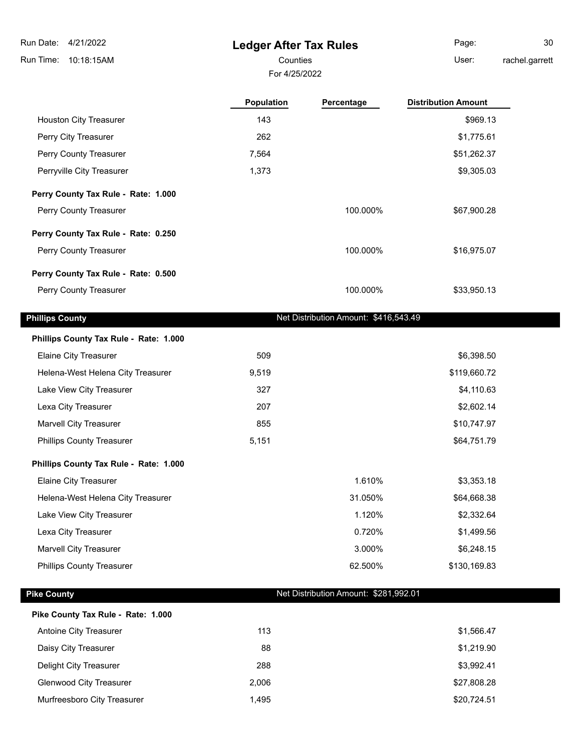# **Ledger After Tax Rules**

For 4/25/2022

Page: 30

Counties **User:** 

rachel.garrett

|                                                                 | Population | Percentage                            | <b>Distribution Amount</b> |
|-----------------------------------------------------------------|------------|---------------------------------------|----------------------------|
| Houston City Treasurer                                          | 143        |                                       | \$969.13                   |
| Perry City Treasurer                                            | 262        |                                       | \$1,775.61                 |
| Perry County Treasurer                                          | 7,564      |                                       | \$51,262.37                |
| Perryville City Treasurer                                       | 1,373      |                                       | \$9,305.03                 |
| Perry County Tax Rule - Rate: 1.000                             |            |                                       |                            |
| Perry County Treasurer                                          |            | 100.000%                              | \$67,900.28                |
| Perry County Tax Rule - Rate: 0.250                             |            |                                       |                            |
| Perry County Treasurer                                          |            | 100.000%                              | \$16,975.07                |
| Perry County Tax Rule - Rate: 0.500                             |            |                                       |                            |
| Perry County Treasurer                                          |            | 100.000%                              | \$33,950.13                |
| <b>Phillips County</b>                                          |            | Net Distribution Amount: \$416,543.49 |                            |
|                                                                 |            |                                       |                            |
| Phillips County Tax Rule - Rate: 1.000                          | 509        |                                       | \$6,398.50                 |
| Elaine City Treasurer<br>Helena-West Helena City Treasurer      | 9,519      |                                       | \$119,660.72               |
| Lake View City Treasurer                                        | 327        |                                       | \$4,110.63                 |
| Lexa City Treasurer                                             | 207        |                                       | \$2,602.14                 |
| <b>Marvell City Treasurer</b>                                   | 855        |                                       | \$10,747.97                |
| <b>Phillips County Treasurer</b>                                | 5,151      |                                       | \$64,751.79                |
|                                                                 |            |                                       |                            |
| Phillips County Tax Rule - Rate: 1.000<br>Elaine City Treasurer |            | 1.610%                                | \$3,353.18                 |
| Helena-West Helena City Treasurer                               |            | 31.050%                               | \$64,668.38                |
| Lake View City Treasurer                                        |            | 1.120%                                | \$2,332.64                 |
| Lexa City Treasurer                                             |            | 0.720%                                | \$1,499.56                 |
| <b>Marvell City Treasurer</b>                                   |            | 3.000%                                | \$6,248.15                 |
| <b>Phillips County Treasurer</b>                                |            | 62.500%                               | \$130,169.83               |
| <b>Pike County</b>                                              |            | Net Distribution Amount: \$281,992.01 |                            |
| Pike County Tax Rule - Rate: 1.000                              |            |                                       |                            |
| Antoine City Treasurer                                          | 113        |                                       | \$1,566.47                 |
| Daisy City Treasurer                                            | 88         |                                       | \$1,219.90                 |
| Delight City Treasurer                                          | 288        |                                       | \$3,992.41                 |
| <b>Glenwood City Treasurer</b>                                  | 2,006      |                                       | \$27,808.28                |
| Murfreesboro City Treasurer                                     | 1,495      |                                       | \$20,724.51                |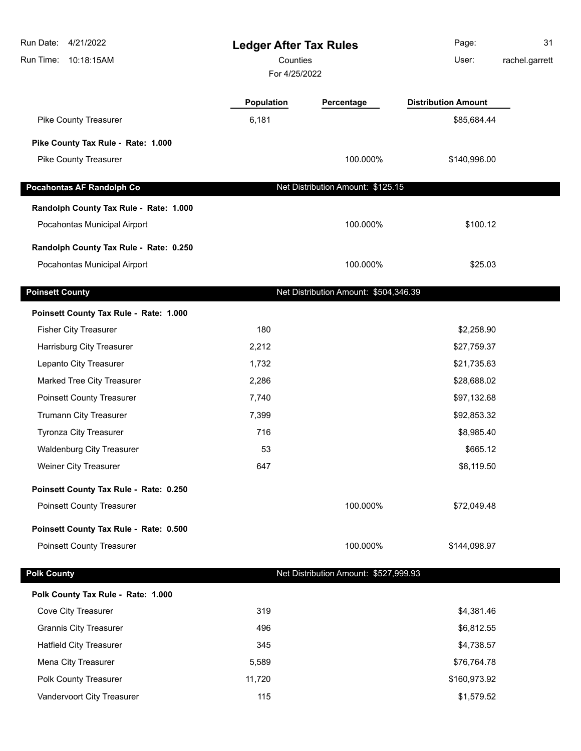| 4/21/2022<br>Run Date:<br>Run Time:<br>10:18:15AM | <b>Ledger After Tax Rules</b><br>Counties<br>For 4/25/2022 |                                       | Page:<br>User:             | 31<br>rachel.garrett |
|---------------------------------------------------|------------------------------------------------------------|---------------------------------------|----------------------------|----------------------|
|                                                   | Population                                                 | Percentage                            | <b>Distribution Amount</b> |                      |
| Pike County Treasurer                             | 6,181                                                      |                                       | \$85,684.44                |                      |
| Pike County Tax Rule - Rate: 1.000                |                                                            |                                       |                            |                      |
| Pike County Treasurer                             |                                                            | 100.000%                              | \$140,996.00               |                      |
| <b>Pocahontas AF Randolph Co</b>                  |                                                            | Net Distribution Amount: \$125.15     |                            |                      |
| Randolph County Tax Rule - Rate: 1.000            |                                                            |                                       |                            |                      |
| Pocahontas Municipal Airport                      |                                                            | 100.000%                              | \$100.12                   |                      |
| Randolph County Tax Rule - Rate: 0.250            |                                                            |                                       |                            |                      |
| Pocahontas Municipal Airport                      |                                                            | 100.000%                              | \$25.03                    |                      |
| <b>Poinsett County</b>                            |                                                            | Net Distribution Amount: \$504,346.39 |                            |                      |
| Poinsett County Tax Rule - Rate: 1.000            |                                                            |                                       |                            |                      |
| <b>Fisher City Treasurer</b>                      | 180                                                        |                                       | \$2,258.90                 |                      |
| Harrisburg City Treasurer                         | 2,212                                                      |                                       | \$27,759.37                |                      |
| Lepanto City Treasurer                            | 1,732                                                      |                                       | \$21,735.63                |                      |
| Marked Tree City Treasurer                        | 2,286                                                      |                                       | \$28,688.02                |                      |
| <b>Poinsett County Treasurer</b>                  | 7,740                                                      |                                       | \$97,132.68                |                      |
| Trumann City Treasurer                            | 7,399                                                      |                                       | \$92,853.32                |                      |
| <b>Tyronza City Treasurer</b>                     | 716                                                        |                                       | \$8,985.40                 |                      |
| <b>Waldenburg City Treasurer</b>                  | 53                                                         |                                       | \$665.12                   |                      |
| Weiner City Treasurer                             | 647                                                        |                                       | \$8,119.50                 |                      |
| Poinsett County Tax Rule - Rate: 0.250            |                                                            |                                       |                            |                      |
| <b>Poinsett County Treasurer</b>                  |                                                            | 100.000%                              | \$72,049.48                |                      |
| Poinsett County Tax Rule - Rate: 0.500            |                                                            |                                       |                            |                      |
| <b>Poinsett County Treasurer</b>                  |                                                            | 100.000%                              | \$144,098.97               |                      |
| <b>Polk County</b>                                |                                                            | Net Distribution Amount: \$527,999.93 |                            |                      |
| Polk County Tax Rule - Rate: 1.000                |                                                            |                                       |                            |                      |
| Cove City Treasurer                               | 319                                                        |                                       | \$4,381.46                 |                      |
| <b>Grannis City Treasurer</b>                     | 496                                                        |                                       | \$6,812.55                 |                      |
| <b>Hatfield City Treasurer</b>                    | 345                                                        |                                       | \$4,738.57                 |                      |
| Mena City Treasurer                               | 5,589                                                      |                                       | \$76,764.78                |                      |
| Polk County Treasurer                             | 11,720                                                     |                                       | \$160,973.92               |                      |
| Vandervoort City Treasurer                        | 115                                                        |                                       | \$1,579.52                 |                      |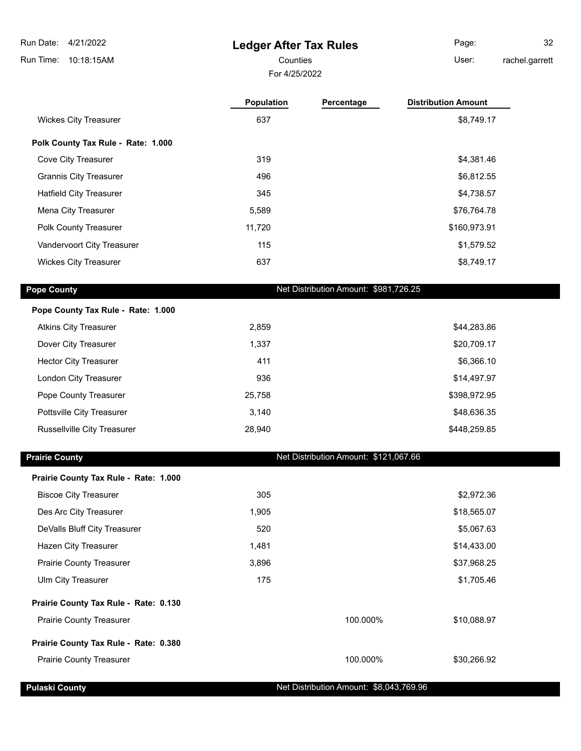**Ledger After Tax Rules** Run Time: 10:18:15AM Run Date: 4/21/2022 For 4/25/2022 Counties **Counties** User: Page: 32 rachel.garrett

|                                    | <b>Population</b> | Percentage | <b>Distribution Amount</b> |
|------------------------------------|-------------------|------------|----------------------------|
| <b>Wickes City Treasurer</b>       | 637               |            | \$8,749.17                 |
| Polk County Tax Rule - Rate: 1.000 |                   |            |                            |
| Cove City Treasurer                | 319               |            | \$4,381.46                 |
| <b>Grannis City Treasurer</b>      | 496               |            | \$6,812.55                 |
| <b>Hatfield City Treasurer</b>     | 345               |            | \$4,738.57                 |
| Mena City Treasurer                | 5,589             |            | \$76,764.78                |
| Polk County Treasurer              | 11.720            |            | \$160,973.91               |
| Vandervoort City Treasurer         | 115               |            | \$1,579.52                 |
| <b>Wickes City Treasurer</b>       | 637               |            | \$8,749.17                 |

**Pope County Tax Rule - Rate: 1.000** Atkins City Treasurer **2,859** 2,859 **\$44,283.86** Dover City Treasurer 1,337 \$20,709.17 Hector City Treasurer **19.11 19.12 Treasurer 19.12 Treasurer 19.13 411 19.13 19.14 19.16 19.16 19.16 19.16 19.16 19.16 19.16 19.16 19.16 19.16 19.16 19.16 19.16 19.16 19.16 19.16 1** London City Treasurer **6. 1998 314,497.97 336 314,497.97** Pope County Treasurer 25,758 \$398,972.95 Pottsville City Treasurer and the control of the control of 3,140 \$48,636.35 \$48,636.35 Russellville City Treasurer 1980 1990 1990 1991 1991 1992 28,940 **\$448,259.85** 28,940

**Pope County Pope County Net Distribution Amount: \$981,726.25** 

| <b>Prairie County</b>                 |       | Net Distribution Amount: \$121,067.66 |             |
|---------------------------------------|-------|---------------------------------------|-------------|
| Prairie County Tax Rule - Rate: 1.000 |       |                                       |             |
| <b>Biscoe City Treasurer</b>          | 305   |                                       | \$2,972.36  |
| Des Arc City Treasurer                | 1,905 |                                       | \$18,565.07 |
| DeValls Bluff City Treasurer          | 520   |                                       | \$5,067.63  |
| Hazen City Treasurer                  | 1,481 |                                       | \$14,433.00 |
| <b>Prairie County Treasurer</b>       | 3,896 |                                       | \$37,968.25 |
| Ulm City Treasurer                    | 175   |                                       | \$1,705.46  |
| Prairie County Tax Rule - Rate: 0.130 |       |                                       |             |
| <b>Prairie County Treasurer</b>       |       | 100.000%                              | \$10,088.97 |
| Prairie County Tax Rule - Rate: 0.380 |       |                                       |             |
| <b>Prairie County Treasurer</b>       |       | 100.000%                              | \$30,266.92 |
|                                       |       |                                       |             |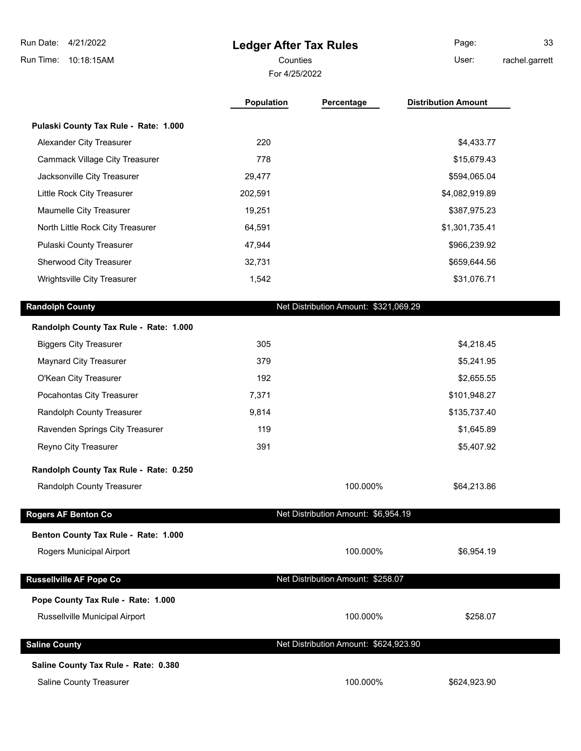| 4/21/2022<br>Run Date:                 | <b>Ledger After Tax Rules</b> |                                       | Page:                      | 33             |  |  |
|----------------------------------------|-------------------------------|---------------------------------------|----------------------------|----------------|--|--|
| Run Time:<br>10:18:15AM                | Counties                      |                                       | User:                      | rachel.garrett |  |  |
| For 4/25/2022                          |                               |                                       |                            |                |  |  |
|                                        | <b>Population</b>             | Percentage                            | <b>Distribution Amount</b> |                |  |  |
| Pulaski County Tax Rule - Rate: 1.000  |                               |                                       |                            |                |  |  |
| <b>Alexander City Treasurer</b>        | 220                           |                                       | \$4,433.77                 |                |  |  |
| <b>Cammack Village City Treasurer</b>  | 778                           |                                       | \$15,679.43                |                |  |  |
| Jacksonville City Treasurer            | 29,477                        |                                       | \$594,065.04               |                |  |  |
| Little Rock City Treasurer             | 202,591                       |                                       | \$4,082,919.89             |                |  |  |
| Maumelle City Treasurer                | 19,251                        |                                       | \$387,975.23               |                |  |  |
| North Little Rock City Treasurer       | 64,591                        |                                       | \$1,301,735.41             |                |  |  |
| Pulaski County Treasurer               | 47,944                        |                                       | \$966,239.92               |                |  |  |
| Sherwood City Treasurer                | 32,731                        |                                       | \$659,644.56               |                |  |  |
| Wrightsville City Treasurer            | 1,542                         |                                       | \$31,076.71                |                |  |  |
| <b>Randolph County</b>                 |                               | Net Distribution Amount: \$321,069.29 |                            |                |  |  |
| Randolph County Tax Rule - Rate: 1.000 |                               |                                       |                            |                |  |  |
| <b>Biggers City Treasurer</b>          | 305                           |                                       | \$4,218.45                 |                |  |  |
| <b>Maynard City Treasurer</b>          | 379                           |                                       | \$5,241.95                 |                |  |  |
| O'Kean City Treasurer                  | 192                           |                                       | \$2,655.55                 |                |  |  |
| Pocahontas City Treasurer              | 7,371                         |                                       | \$101,948.27               |                |  |  |
| Randolph County Treasurer              | 9,814                         |                                       | \$135,737.40               |                |  |  |
| Ravenden Springs City Treasurer        | 119                           |                                       | \$1,645.89                 |                |  |  |
| Reyno City Treasurer                   | 391                           |                                       | \$5,407.92                 |                |  |  |
| Randolph County Tax Rule - Rate: 0.250 |                               |                                       |                            |                |  |  |
| Randolph County Treasurer              |                               | 100.000%                              | \$64,213.86                |                |  |  |
| <b>Rogers AF Benton Co</b>             |                               | Net Distribution Amount: \$6,954.19   |                            |                |  |  |
| Benton County Tax Rule - Rate: 1.000   |                               |                                       |                            |                |  |  |
| Rogers Municipal Airport               |                               | 100.000%                              | \$6,954.19                 |                |  |  |
| <b>Russellville AF Pope Co</b>         |                               | Net Distribution Amount: \$258.07     |                            |                |  |  |
| Pope County Tax Rule - Rate: 1.000     |                               |                                       |                            |                |  |  |
| Russellville Municipal Airport         |                               | 100.000%                              | \$258.07                   |                |  |  |

**Saline County Tax Rule - Rate: 0.380**

**Saline County Saline County Net Distribution Amount: \$624,923.90** 

Saline County Treasurer 100.000% \$624,923.90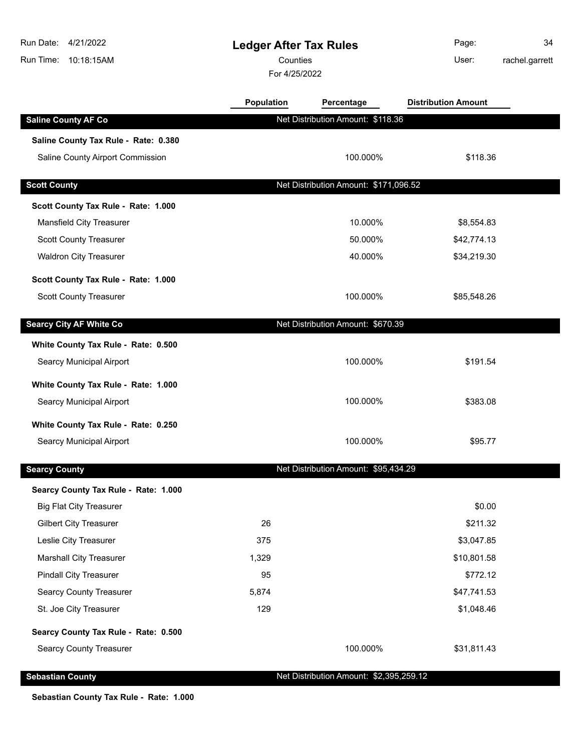| Run Date: 4/21/2022<br>Run Time: 10:18:15AM | <b>Ledger After Tax Rules</b><br>Counties<br>For 4/25/2022 |                                         | Page:<br>User:             | 34<br>rachel.garrett |
|---------------------------------------------|------------------------------------------------------------|-----------------------------------------|----------------------------|----------------------|
|                                             | Population                                                 | Percentage                              | <b>Distribution Amount</b> |                      |
| <b>Saline County AF Co</b>                  |                                                            | Net Distribution Amount: \$118.36       |                            |                      |
| Saline County Tax Rule - Rate: 0.380        |                                                            |                                         |                            |                      |
| Saline County Airport Commission            |                                                            | 100.000%                                | \$118.36                   |                      |
| <b>Scott County</b>                         |                                                            | Net Distribution Amount: \$171,096.52   |                            |                      |
| Scott County Tax Rule - Rate: 1.000         |                                                            |                                         |                            |                      |
| Mansfield City Treasurer                    |                                                            | 10.000%                                 | \$8,554.83                 |                      |
| <b>Scott County Treasurer</b>               |                                                            | 50.000%                                 | \$42,774.13                |                      |
| <b>Waldron City Treasurer</b>               |                                                            | 40.000%                                 | \$34,219.30                |                      |
| Scott County Tax Rule - Rate: 1.000         |                                                            |                                         |                            |                      |
| <b>Scott County Treasurer</b>               |                                                            | 100.000%                                | \$85,548.26                |                      |
| <b>Searcy City AF White Co</b>              |                                                            | Net Distribution Amount: \$670.39       |                            |                      |
| White County Tax Rule - Rate: 0.500         |                                                            |                                         |                            |                      |
| Searcy Municipal Airport                    |                                                            | 100.000%                                | \$191.54                   |                      |
| White County Tax Rule - Rate: 1.000         |                                                            |                                         |                            |                      |
| Searcy Municipal Airport                    |                                                            | 100.000%                                | \$383.08                   |                      |
| White County Tax Rule - Rate: 0.250         |                                                            |                                         |                            |                      |
| Searcy Municipal Airport                    |                                                            | 100.000%                                | \$95.77                    |                      |
| <b>Searcy County</b>                        |                                                            | Net Distribution Amount: \$95,434.29    |                            |                      |
| Searcy County Tax Rule - Rate: 1.000        |                                                            |                                         |                            |                      |
| <b>Big Flat City Treasurer</b>              |                                                            |                                         | \$0.00                     |                      |
| <b>Gilbert City Treasurer</b>               | 26                                                         |                                         | \$211.32                   |                      |
| Leslie City Treasurer                       | 375                                                        |                                         | \$3,047.85                 |                      |
| <b>Marshall City Treasurer</b>              | 1,329                                                      |                                         | \$10,801.58                |                      |
| <b>Pindall City Treasurer</b>               | 95                                                         |                                         | \$772.12                   |                      |
| <b>Searcy County Treasurer</b>              | 5,874                                                      |                                         | \$47,741.53                |                      |
| St. Joe City Treasurer                      | 129                                                        |                                         | \$1,048.46                 |                      |
| Searcy County Tax Rule - Rate: 0.500        |                                                            |                                         |                            |                      |
| <b>Searcy County Treasurer</b>              |                                                            | 100.000%                                | \$31,811.43                |                      |
| <b>Sebastian County</b>                     |                                                            | Net Distribution Amount: \$2,395,259.12 |                            |                      |

**Sebastian County Tax Rule - Rate: 1.000**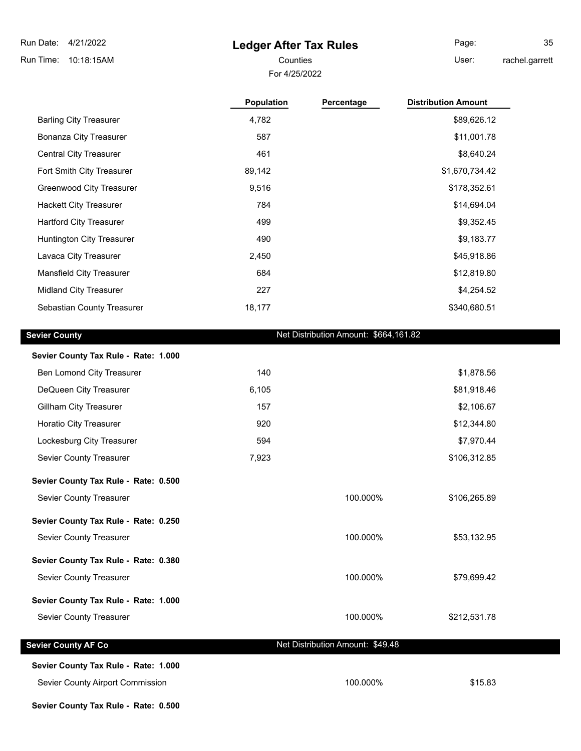#### **Ledger After Tax Rules**

For 4/25/2022

Page: 35

Counties **Counties** User:

rachel.garrett

|                                      | <b>Population</b> | Percentage                            | <b>Distribution Amount</b> |
|--------------------------------------|-------------------|---------------------------------------|----------------------------|
| <b>Barling City Treasurer</b>        | 4,782             |                                       | \$89,626.12                |
| <b>Bonanza City Treasurer</b>        | 587               |                                       | \$11,001.78                |
| <b>Central City Treasurer</b>        | 461               |                                       | \$8,640.24                 |
| Fort Smith City Treasurer            | 89,142            |                                       | \$1,670,734.42             |
| Greenwood City Treasurer             | 9,516             |                                       | \$178,352.61               |
| <b>Hackett City Treasurer</b>        | 784               |                                       | \$14,694.04                |
| <b>Hartford City Treasurer</b>       | 499               |                                       | \$9,352.45                 |
| Huntington City Treasurer            | 490               |                                       | \$9,183.77                 |
| Lavaca City Treasurer                | 2,450             |                                       | \$45,918.86                |
| Mansfield City Treasurer             | 684               |                                       | \$12,819.80                |
| <b>Midland City Treasurer</b>        | 227               |                                       | \$4,254.52                 |
| Sebastian County Treasurer           | 18,177            |                                       | \$340,680.51               |
|                                      |                   |                                       |                            |
| <b>Sevier County</b>                 |                   | Net Distribution Amount: \$664,161.82 |                            |
| Sevier County Tax Rule - Rate: 1.000 |                   |                                       |                            |
| Ben Lomond City Treasurer            | 140               |                                       | \$1,878.56                 |
|                                      |                   |                                       |                            |

| DeQueen City Treasurer        | 6.105 | \$81,918.46 |
|-------------------------------|-------|-------------|
| Gillham City Treasurer        | 157   | \$2,106.67  |
| <b>Horatio City Treasurer</b> | 920   | \$12,344.80 |

- Lockesburg City Treasurer 1988 1994 594 594 594 594 594 594 595 594 595 594 57,970.44 Sevier County Treasurer The County of Treasurer 1,923 Seviet County 1,923 Seviet County 1,923 Seviet County 1,923
- **Sevier County Tax Rule Rate: 0.500**

Sevier County Treasurer **100.000%** \$106,265.89

**Sevier County Tax Rule - Rate: 0.250** Sevier County Treasurer **100.000%** \$53,132.95

**Sevier County Tax Rule - Rate: 0.380** Sevier County Treasurer 100.000% \$79,699.42

# **Sevier County Tax Rule - Rate: 1.000**

#### Sevier County Treasurer **100.000%** \$212,531.78

|  | Sevier County AF Co |  |
|--|---------------------|--|
|  |                     |  |

#### **Sevier County AF Co Net Distribution Amount: \$49.48**

### **Sevier County Tax Rule - Rate: 1.000**

Sevier County Airport Commission 615.83

**Sevier County Tax Rule - Rate: 0.500**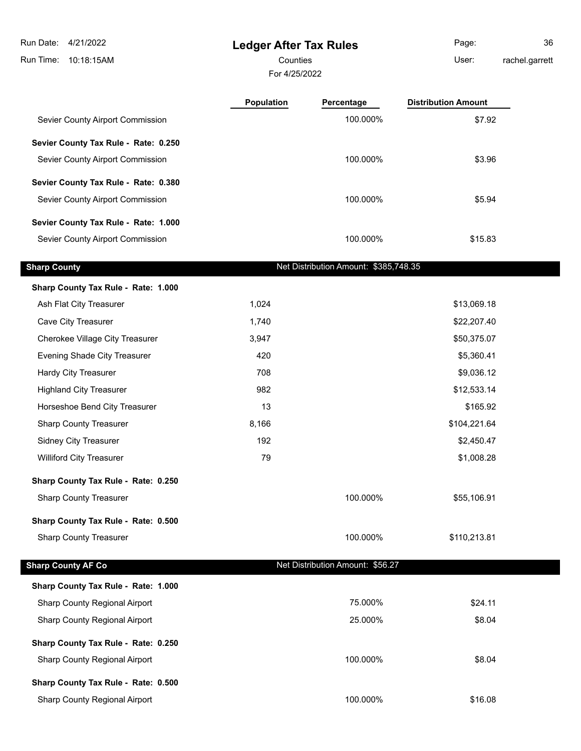**Ledger After Tax Rules** Run Time: 10:18:15AM Run Date: 4/21/2022 For 4/25/2022 Counties **Counties** User: Page: 36 rachel.garrett **Population Percentage Distribution Amount** Sevier County Airport Commission  $$7.92$ **Sevier County Tax Rule - Rate: 0.250** Sevier County Airport Commission 63.96 **Sevier County Tax Rule - Rate: 0.380** Sevier County Airport Commission 65.94 **Sevier County Tax Rule - Rate: 1.000** Sevier County Airport Commission 615.83 **Sharp County County Net Distribution Amount: \$385,748.35 Sharp County Tax Rule - Rate: 1.000** Ash Flat City Treasurer 1,024 \$13,069.18 Cave City Treasurer 1,740 \$22,207.40 Cherokee Village City Treasurer 1990 1990 1991 1991 1991 1992 1994 1995 1996 1997 1998 1999 1999 1999 1999 199 Evening Shade City Treasurer 1980 1990 1991 120 420 **65,360.41** \$5,360.41 Hardy City Treasurer **1996 1206 1206 1206 1206 1206 1206 1206 1206 1206 1206 1206 1206 1206** Highland City Treasurer **1982 12,533.14 \$12,533.14** Horseshoe Bend City Treasurer 13 **13 13 165.92 13 165.92 13** Sharp County Treasurer 1980 104,221.64 Sidney City Treasurer 192 by the state of the state of the state of the state of the state of the state of the state of the state of the state of the state of the state of the state of the state of the state of the state o Williford City Treasurer **79** \$1,008.28 **Sharp County Tax Rule - Rate: 0.250** Sharp County Treasurer **100.000%** \$55,106.91 **Sharp County Tax Rule - Rate: 0.500** Sharp County Treasurer **100.000%** \$110,213.81 **Sharp County AF Co Net Distribution Amount: \$56.27 Sharp County Tax Rule - Rate: 1.000** Sharp County Regional Airport **1988 Sharp County Regional Airport 1988 1988 1998 75.000%** \$24.11 Sharp County Regional Airport **1988** CONSERVING 25.000% \$8.04 **Sharp County Tax Rule - Rate: 0.250** Sharp County Regional Airport 100.000% \$8.04 **Sharp County Tax Rule - Rate: 0.500** Sharp County Regional Airport 100.000% \$16.08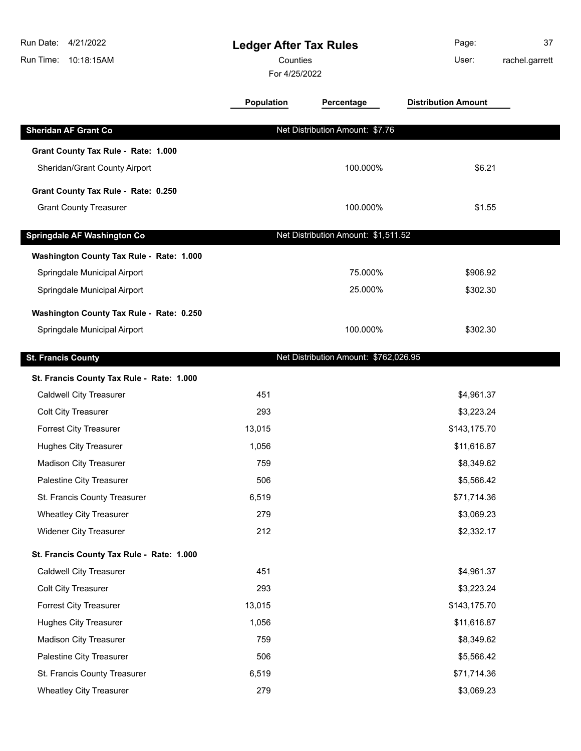| Run Date:<br>4/21/2022<br>10:18:15AM<br>Run Time:                           |                   | <b>Ledger After Tax Rules</b><br>Counties<br>For 4/25/2022 |                            | 37<br>rachel.garrett |
|-----------------------------------------------------------------------------|-------------------|------------------------------------------------------------|----------------------------|----------------------|
|                                                                             | <b>Population</b> | Percentage                                                 | <b>Distribution Amount</b> |                      |
| <b>Sheridan AF Grant Co</b>                                                 |                   | Net Distribution Amount: \$7.76                            |                            |                      |
| Grant County Tax Rule - Rate: 1.000                                         |                   |                                                            |                            |                      |
| Sheridan/Grant County Airport                                               |                   | 100.000%                                                   | \$6.21                     |                      |
| Grant County Tax Rule - Rate: 0.250                                         |                   |                                                            |                            |                      |
| <b>Grant County Treasurer</b>                                               |                   | 100.000%                                                   | \$1.55                     |                      |
| Springdale AF Washington Co                                                 |                   | Net Distribution Amount: \$1,511.52                        |                            |                      |
| Washington County Tax Rule - Rate: 1.000                                    |                   |                                                            |                            |                      |
| Springdale Municipal Airport                                                |                   | 75.000%                                                    | \$906.92                   |                      |
| Springdale Municipal Airport                                                |                   | 25.000%                                                    | \$302.30                   |                      |
| Washington County Tax Rule - Rate: 0.250                                    |                   |                                                            |                            |                      |
| Springdale Municipal Airport                                                |                   | 100.000%                                                   | \$302.30                   |                      |
|                                                                             |                   |                                                            |                            |                      |
| <b>St. Francis County</b>                                                   |                   | Net Distribution Amount: \$762,026.95                      |                            |                      |
| St. Francis County Tax Rule - Rate: 1.000<br><b>Caldwell City Treasurer</b> | 451               |                                                            | \$4,961.37                 |                      |
| <b>Colt City Treasurer</b>                                                  | 293               |                                                            | \$3,223.24                 |                      |
| <b>Forrest City Treasurer</b>                                               | 13,015            |                                                            | \$143,175.70               |                      |
| <b>Hughes City Treasurer</b>                                                | 1,056             |                                                            | \$11,616.87                |                      |
| <b>Madison City Treasurer</b>                                               | 759               |                                                            | \$8,349.62                 |                      |
| Palestine City Treasurer                                                    | 506               |                                                            | \$5,566.42                 |                      |
| St. Francis County Treasurer                                                | 6,519             |                                                            | \$71,714.36                |                      |
| <b>Wheatley City Treasurer</b>                                              | 279               |                                                            | \$3,069.23                 |                      |
| Widener City Treasurer                                                      | 212               |                                                            | \$2,332.17                 |                      |
| St. Francis County Tax Rule - Rate: 1.000                                   |                   |                                                            |                            |                      |
| <b>Caldwell City Treasurer</b>                                              | 451               |                                                            | \$4,961.37                 |                      |
| <b>Colt City Treasurer</b>                                                  | 293               |                                                            | \$3,223.24                 |                      |
| <b>Forrest City Treasurer</b>                                               | 13,015            |                                                            | \$143,175.70               |                      |
| <b>Hughes City Treasurer</b>                                                | 1,056             |                                                            | \$11,616.87                |                      |
| <b>Madison City Treasurer</b>                                               | 759               |                                                            | \$8,349.62                 |                      |
| Palestine City Treasurer                                                    | 506               |                                                            | \$5,566.42                 |                      |
| St. Francis County Treasurer                                                | 6,519             |                                                            | \$71,714.36                |                      |
| <b>Wheatley City Treasurer</b>                                              | 279               |                                                            | \$3,069.23                 |                      |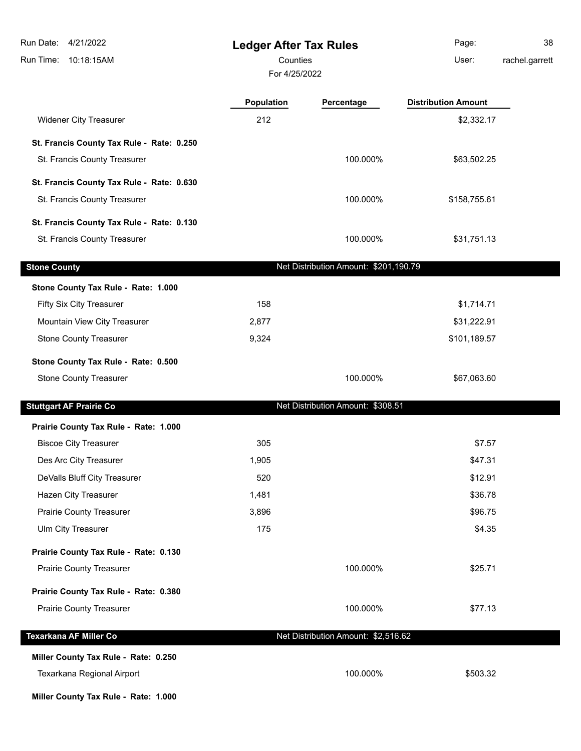| Run Date:<br>4/21/2022<br>Run Time: 10:18:15AM | <b>Ledger After Tax Rules</b><br>Counties<br>For 4/25/2022 |                                       | Page:<br>User:             | 38<br>rachel.garrett |
|------------------------------------------------|------------------------------------------------------------|---------------------------------------|----------------------------|----------------------|
|                                                | Population                                                 | Percentage                            | <b>Distribution Amount</b> |                      |
| <b>Widener City Treasurer</b>                  | 212                                                        |                                       | \$2,332.17                 |                      |
| St. Francis County Tax Rule - Rate: 0.250      |                                                            |                                       |                            |                      |
| St. Francis County Treasurer                   |                                                            | 100.000%                              | \$63,502.25                |                      |
| St. Francis County Tax Rule - Rate: 0.630      |                                                            |                                       |                            |                      |
| St. Francis County Treasurer                   |                                                            | 100.000%                              | \$158,755.61               |                      |
| St. Francis County Tax Rule - Rate: 0.130      |                                                            |                                       |                            |                      |
| St. Francis County Treasurer                   |                                                            | 100.000%                              | \$31,751.13                |                      |
| <b>Stone County</b>                            |                                                            | Net Distribution Amount: \$201,190.79 |                            |                      |
| Stone County Tax Rule - Rate: 1.000            |                                                            |                                       |                            |                      |
| Fifty Six City Treasurer                       | 158                                                        |                                       | \$1,714.71                 |                      |
| Mountain View City Treasurer                   | 2,877                                                      |                                       | \$31,222.91                |                      |
| <b>Stone County Treasurer</b>                  | 9,324                                                      |                                       | \$101,189.57               |                      |
| Stone County Tax Rule - Rate: 0.500            |                                                            |                                       |                            |                      |
| <b>Stone County Treasurer</b>                  |                                                            | 100.000%                              | \$67,063.60                |                      |
| <b>Stuttgart AF Prairie Co</b>                 |                                                            | Net Distribution Amount: \$308.51     |                            |                      |
| Prairie County Tax Rule - Rate: 1.000          |                                                            |                                       |                            |                      |
| <b>Biscoe City Treasurer</b>                   | 305                                                        |                                       | \$7.57                     |                      |
| Des Arc City Treasurer                         | 1,905                                                      |                                       | \$47.31                    |                      |
| DeValls Bluff City Treasurer                   | 520                                                        |                                       | \$12.91                    |                      |
| Hazen City Treasurer                           | 1,481                                                      |                                       | \$36.78                    |                      |
| <b>Prairie County Treasurer</b>                | 3,896                                                      |                                       | \$96.75                    |                      |
| Ulm City Treasurer                             | 175                                                        |                                       | \$4.35                     |                      |
| Prairie County Tax Rule - Rate: 0.130          |                                                            |                                       |                            |                      |
| Prairie County Treasurer                       |                                                            | 100.000%                              | \$25.71                    |                      |
| Prairie County Tax Rule - Rate: 0.380          |                                                            |                                       |                            |                      |
| Prairie County Treasurer                       |                                                            | 100.000%                              | \$77.13                    |                      |
| Texarkana AF Miller Co                         |                                                            | Net Distribution Amount: \$2,516.62   |                            |                      |
| Miller County Tax Rule - Rate: 0.250           |                                                            |                                       |                            |                      |
| Texarkana Regional Airport                     |                                                            | 100.000%                              | \$503.32                   |                      |

**Miller County Tax Rule - Rate: 1.000**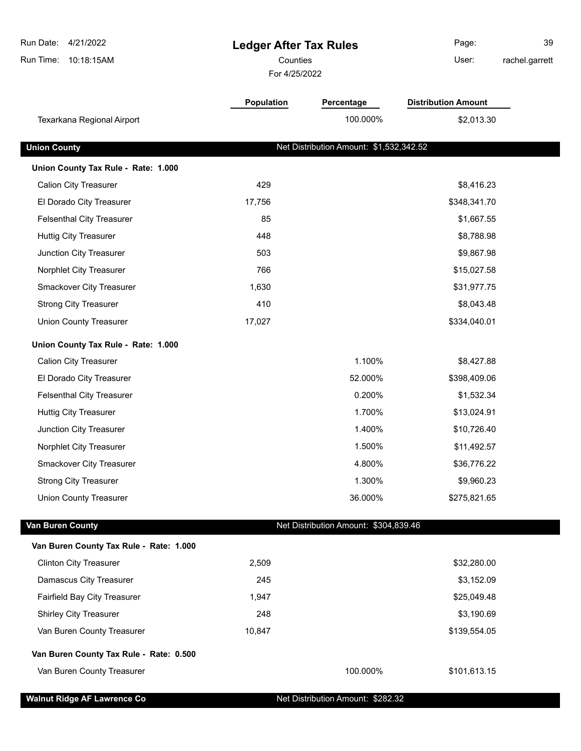| Run Date: 4/21/2022<br>Run Time:<br>10:18:15AM | <b>Ledger After Tax Rules</b><br>Counties<br>For 4/25/2022 |                                         | Page:<br>User:             | 39<br>rachel.garrett |
|------------------------------------------------|------------------------------------------------------------|-----------------------------------------|----------------------------|----------------------|
|                                                |                                                            |                                         |                            |                      |
|                                                | Population                                                 | Percentage                              | <b>Distribution Amount</b> |                      |
| Texarkana Regional Airport                     |                                                            | 100.000%                                | \$2,013.30                 |                      |
| <b>Union County</b>                            |                                                            | Net Distribution Amount: \$1,532,342.52 |                            |                      |
| Union County Tax Rule - Rate: 1.000            |                                                            |                                         |                            |                      |
| <b>Calion City Treasurer</b>                   | 429                                                        |                                         | \$8,416.23                 |                      |
| El Dorado City Treasurer                       | 17,756                                                     |                                         | \$348,341.70               |                      |
| <b>Felsenthal City Treasurer</b>               | 85                                                         |                                         | \$1,667.55                 |                      |
| <b>Huttig City Treasurer</b>                   | 448                                                        |                                         | \$8,788.98                 |                      |
| Junction City Treasurer                        | 503                                                        |                                         | \$9,867.98                 |                      |
| Norphlet City Treasurer                        | 766                                                        |                                         | \$15,027.58                |                      |
| <b>Smackover City Treasurer</b>                | 1,630                                                      |                                         | \$31,977.75                |                      |
| <b>Strong City Treasurer</b>                   | 410                                                        |                                         | \$8,043.48                 |                      |
| <b>Union County Treasurer</b>                  | 17,027                                                     |                                         | \$334,040.01               |                      |
| Union County Tax Rule - Rate: 1.000            |                                                            |                                         |                            |                      |
| <b>Calion City Treasurer</b>                   |                                                            | 1.100%                                  | \$8,427.88                 |                      |
| El Dorado City Treasurer                       |                                                            | 52.000%                                 | \$398,409.06               |                      |
| <b>Felsenthal City Treasurer</b>               |                                                            | 0.200%                                  | \$1,532.34                 |                      |
| <b>Huttig City Treasurer</b>                   |                                                            | 1.700%                                  | \$13,024.91                |                      |
| Junction City Treasurer                        |                                                            | 1.400%                                  | \$10,726.40                |                      |
| Norphlet City Treasurer                        |                                                            | 1.500%                                  | \$11,492.57                |                      |
| Smackover City Treasurer                       |                                                            | 4.800%                                  | \$36,776.22                |                      |
| <b>Strong City Treasurer</b>                   |                                                            | 1.300%                                  | \$9,960.23                 |                      |
| <b>Union County Treasurer</b>                  |                                                            | 36.000%                                 | \$275,821.65               |                      |
| Van Buren County                               |                                                            | Net Distribution Amount: \$304,839.46   |                            |                      |
| Van Buren County Tax Rule - Rate: 1.000        |                                                            |                                         |                            |                      |
| <b>Clinton City Treasurer</b>                  | 2,509                                                      |                                         | \$32,280.00                |                      |
| Damascus City Treasurer                        | 245                                                        |                                         | \$3,152.09                 |                      |
| Fairfield Bay City Treasurer                   | 1,947                                                      |                                         | \$25,049.48                |                      |
| <b>Shirley City Treasurer</b>                  | 248                                                        |                                         | \$3,190.69                 |                      |
| Van Buren County Treasurer                     | 10,847                                                     |                                         | \$139,554.05               |                      |
| Van Buren County Tax Rule - Rate: 0.500        |                                                            |                                         |                            |                      |
| Van Buren County Treasurer                     |                                                            | 100.000%                                | \$101,613.15               |                      |
| <b>Walnut Ridge AF Lawrence Co</b>             |                                                            | Net Distribution Amount: \$282.32       |                            |                      |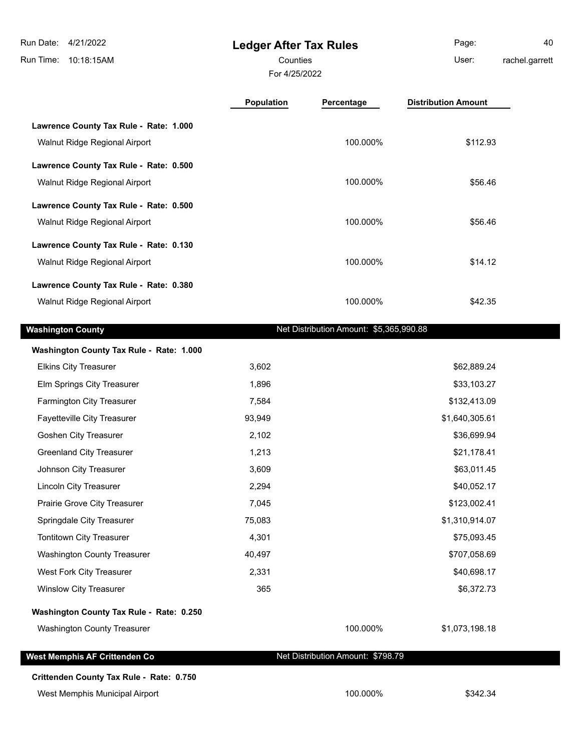Г

# **Ledger After Tax Rules**

For 4/25/2022 Counties **User:** 

Page: 40 rachel.garrett

|                                          | <b>Population</b> | Percentage                              | <b>Distribution Amount</b> |
|------------------------------------------|-------------------|-----------------------------------------|----------------------------|
| Lawrence County Tax Rule - Rate: 1.000   |                   |                                         |                            |
| Walnut Ridge Regional Airport            |                   | 100.000%                                | \$112.93                   |
| Lawrence County Tax Rule - Rate: 0.500   |                   |                                         |                            |
| Walnut Ridge Regional Airport            |                   | 100.000%                                | \$56.46                    |
| Lawrence County Tax Rule - Rate: 0.500   |                   |                                         |                            |
| Walnut Ridge Regional Airport            |                   | 100.000%                                | \$56.46                    |
| Lawrence County Tax Rule - Rate: 0.130   |                   |                                         |                            |
| Walnut Ridge Regional Airport            |                   | 100.000%                                | \$14.12                    |
| Lawrence County Tax Rule - Rate: 0.380   |                   |                                         |                            |
| Walnut Ridge Regional Airport            |                   | 100.000%                                | \$42.35                    |
| <b>Washington County</b>                 |                   | Net Distribution Amount: \$5,365,990.88 |                            |
| Washington County Tax Rule - Rate: 1.000 |                   |                                         |                            |
| <b>Elkins City Treasurer</b>             | 3,602             |                                         | \$62,889.24                |
| Elm Springs City Treasurer               | 1,896             |                                         | \$33,103.27                |
| Farmington City Treasurer                | 7,584             |                                         | \$132,413.09               |
| Fayetteville City Treasurer              | 93,949            |                                         | \$1,640,305.61             |
| Goshen City Treasurer                    | 2,102             |                                         | \$36,699.94                |
| <b>Greenland City Treasurer</b>          | 1,213             |                                         | \$21,178.41                |
| Johnson City Treasurer                   | 3,609             |                                         | \$63,011.45                |
| <b>Lincoln City Treasurer</b>            | 2,294             |                                         | \$40,052.17                |
| Prairie Grove City Treasurer             | 7,045             |                                         | \$123,002.41               |
| Springdale City Treasurer                | 75,083            |                                         | \$1,310,914.07             |
| Tontitown City Treasurer                 | 4,301             |                                         | \$75,093.45                |
| <b>Washington County Treasurer</b>       | 40,497            |                                         | \$707,058.69               |
| West Fork City Treasurer                 | 2,331             |                                         | \$40,698.17                |
| <b>Winslow City Treasurer</b>            | 365               |                                         | \$6,372.73                 |
| Washington County Tax Rule - Rate: 0.250 |                   |                                         |                            |
| Washington County Treasurer              |                   | 100.000%                                | \$1,073,198.18             |
| West Memphis AF Crittenden Co            |                   | Net Distribution Amount: \$798.79       |                            |
| Crittenden County Tax Rule - Rate: 0.750 |                   |                                         |                            |
| West Memphis Municipal Airport           |                   | 100.000%                                | \$342.34                   |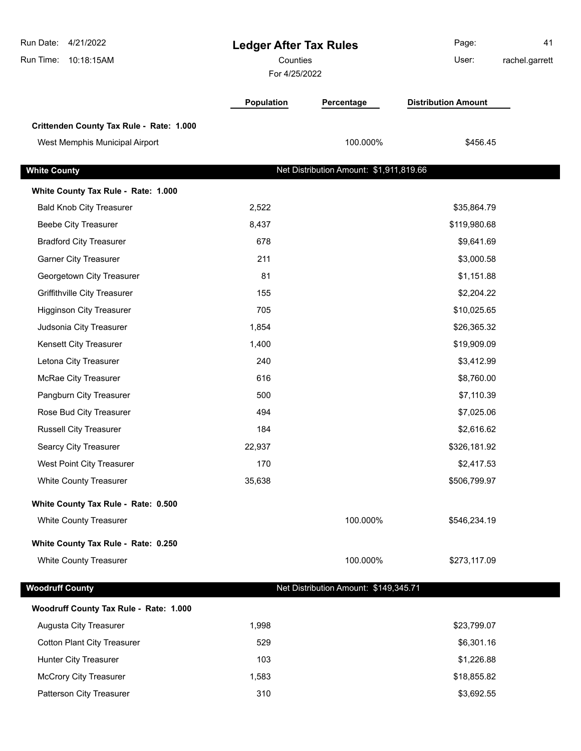| Run Date: 4/21/2022<br>10:18:15AM<br>Run Time: | <b>Ledger After Tax Rules</b><br>Counties<br>For 4/25/2022 |                                         | Page:<br>User:             | 41<br>rachel.garrett |
|------------------------------------------------|------------------------------------------------------------|-----------------------------------------|----------------------------|----------------------|
|                                                | Population                                                 | Percentage                              | <b>Distribution Amount</b> |                      |
| Crittenden County Tax Rule - Rate: 1.000       |                                                            |                                         |                            |                      |
| West Memphis Municipal Airport                 |                                                            | 100.000%                                | \$456.45                   |                      |
| <b>White County</b>                            |                                                            | Net Distribution Amount: \$1,911,819.66 |                            |                      |
| White County Tax Rule - Rate: 1.000            |                                                            |                                         |                            |                      |
| <b>Bald Knob City Treasurer</b>                | 2,522                                                      |                                         | \$35,864.79                |                      |
| <b>Beebe City Treasurer</b>                    | 8,437                                                      |                                         | \$119,980.68               |                      |
| <b>Bradford City Treasurer</b>                 | 678                                                        |                                         | \$9,641.69                 |                      |
| <b>Garner City Treasurer</b>                   | 211                                                        |                                         | \$3,000.58                 |                      |
| Georgetown City Treasurer                      | 81                                                         |                                         | \$1,151.88                 |                      |
| Griffithville City Treasurer                   | 155                                                        |                                         | \$2,204.22                 |                      |
| <b>Higginson City Treasurer</b>                | 705                                                        |                                         | \$10,025.65                |                      |
| Judsonia City Treasurer                        | 1,854                                                      |                                         | \$26,365.32                |                      |
| Kensett City Treasurer                         | 1,400                                                      |                                         | \$19,909.09                |                      |
| Letona City Treasurer                          | 240                                                        |                                         | \$3,412.99                 |                      |
| McRae City Treasurer                           | 616                                                        |                                         | \$8,760.00                 |                      |
| Pangburn City Treasurer                        | 500                                                        |                                         | \$7,110.39                 |                      |
| Rose Bud City Treasurer                        | 494                                                        |                                         | \$7,025.06                 |                      |
| <b>Russell City Treasurer</b>                  | 184                                                        |                                         | \$2,616.62                 |                      |
| Searcy City Treasurer                          | 22,937                                                     |                                         | \$326,181.92               |                      |
| West Point City Treasurer                      | 170                                                        |                                         | \$2,417.53                 |                      |
| <b>White County Treasurer</b>                  | 35,638                                                     |                                         | \$506,799.97               |                      |
| White County Tax Rule - Rate: 0.500            |                                                            |                                         |                            |                      |
| White County Treasurer                         |                                                            | 100.000%                                | \$546,234.19               |                      |
| White County Tax Rule - Rate: 0.250            |                                                            |                                         |                            |                      |
| <b>White County Treasurer</b>                  |                                                            | 100.000%                                | \$273,117.09               |                      |
| <b>Woodruff County</b>                         |                                                            | Net Distribution Amount: \$149,345.71   |                            |                      |
| Woodruff County Tax Rule - Rate: 1.000         |                                                            |                                         |                            |                      |
| Augusta City Treasurer                         | 1,998                                                      |                                         | \$23,799.07                |                      |
| <b>Cotton Plant City Treasurer</b>             | 529                                                        |                                         | \$6,301.16                 |                      |
| Hunter City Treasurer                          | 103                                                        |                                         | \$1,226.88                 |                      |
| <b>McCrory City Treasurer</b>                  | 1,583                                                      |                                         | \$18,855.82                |                      |
| Patterson City Treasurer                       | 310                                                        |                                         | \$3,692.55                 |                      |